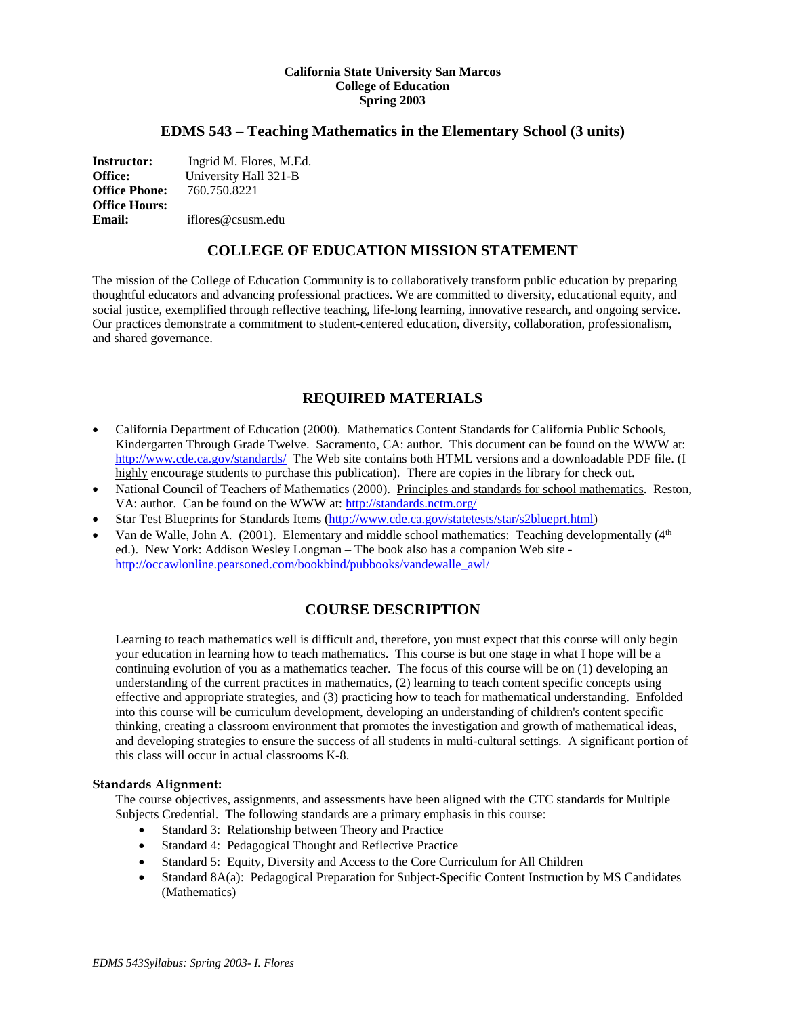#### **California State University San Marcos College of Education Spring 2003**

## **EDMS 543 – Teaching Mathematics in the Elementary School (3 units)**

**Instructor:** Ingrid M. Flores, M.Ed. **Office:** University Hall 321-B<br> **Office Phone:** 760.750.8221 **Office Phone: Office Hours: Email:** iflores@csusm.edu

# **COLLEGE OF EDUCATION MISSION STATEMENT**

The mission of the College of Education Community is to collaboratively transform public education by preparing thoughtful educators and advancing professional practices. We are committed to diversity, educational equity, and social justice, exemplified through reflective teaching, life-long learning, innovative research, and ongoing service. Our practices demonstrate a commitment to student-centered education, diversity, collaboration, professionalism, and shared governance.

# **REQUIRED MATERIALS**

- California Department of Education (2000). Mathematics Content Standards for California Public Schools, Kindergarten Through Grade Twelve. Sacramento, CA: author. This document can be found on the WWW at: <http://www.cde.ca.gov/standards/>The Web site contains both HTML versions and a downloadable PDF file. (I highly encourage students to purchase this publication). There are copies in the library for check out.
- National Council of Teachers of Mathematics (2000). Principles and standards for school mathematics. Reston, VA: author. Can be found on the WWW at:<http://standards.nctm.org/>
- Star Test Blueprints for Standards Items [\(http://www.cde.ca.gov/statetests/star/s2blueprt.html\)](http://www.cde.ca.gov/statetests/star/s2blueprt.html)
- Van de Walle, John A. (2001). Elementary and middle school mathematics: Teaching developmentally (4<sup>th</sup>) ed.). New York: Addison Wesley Longman – The book also has a companion Web site [http://occawlonline.pearsoned.com/bookbind/pubbooks/vandewalle\\_awl/](http://occawlonline.pearsoned.com/bookbind/pubbooks/vandewalle_awl/)

# **COURSE DESCRIPTION**

Learning to teach mathematics well is difficult and, therefore, you must expect that this course will only begin your education in learning how to teach mathematics. This course is but one stage in what I hope will be a continuing evolution of you as a mathematics teacher. The focus of this course will be on (1) developing an understanding of the current practices in mathematics, (2) learning to teach content specific concepts using effective and appropriate strategies, and (3) practicing how to teach for mathematical understanding. Enfolded into this course will be curriculum development, developing an understanding of children's content specific thinking, creating a classroom environment that promotes the investigation and growth of mathematical ideas, and developing strategies to ensure the success of all students in multi-cultural settings. A significant portion of this class will occur in actual classrooms K-8.

#### **Standards Alignment:**

The course objectives, assignments, and assessments have been aligned with the CTC standards for Multiple Subjects Credential. The following standards are a primary emphasis in this course:

- Standard 3: Relationship between Theory and Practice
- Standard 4: Pedagogical Thought and Reflective Practice
- Standard 5: Equity, Diversity and Access to the Core Curriculum for All Children
- Standard 8A(a): Pedagogical Preparation for Subject-Specific Content Instruction by MS Candidates (Mathematics)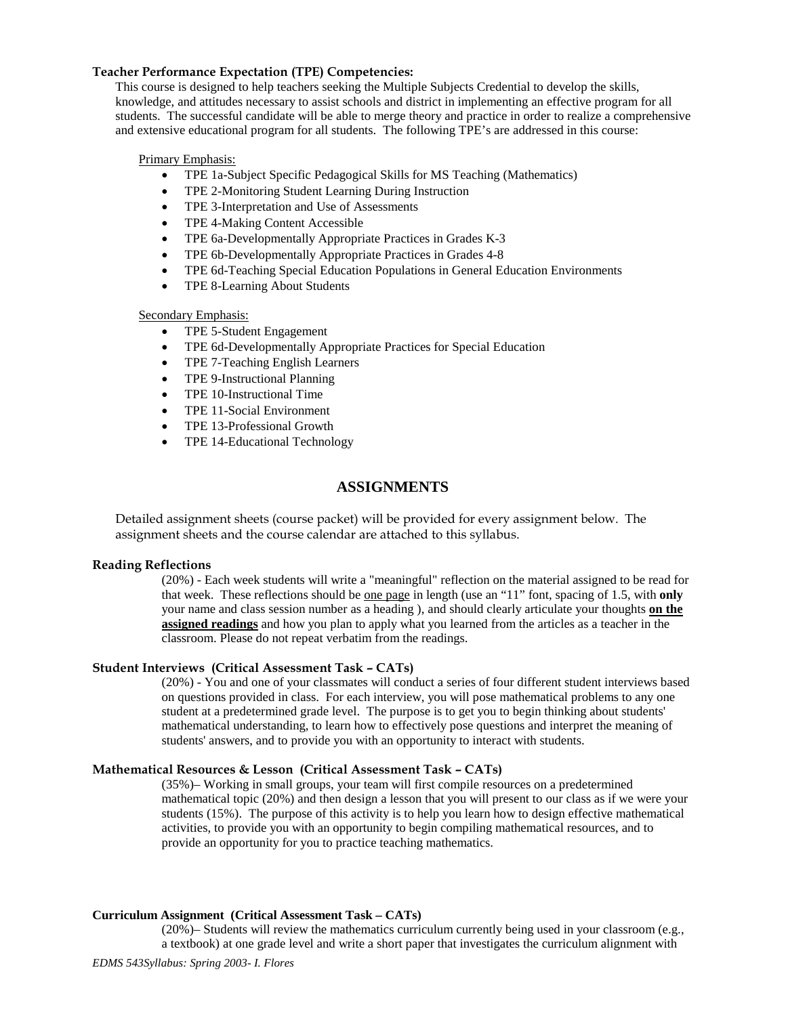### **Teacher Performance Expectation (TPE) Competencies:**

This course is designed to help teachers seeking the Multiple Subjects Credential to develop the skills, knowledge, and attitudes necessary to assist schools and district in implementing an effective program for all students. The successful candidate will be able to merge theory and practice in order to realize a comprehensive and extensive educational program for all students. The following TPE's are addressed in this course:

#### Primary Emphasis:

- TPE 1a-Subject Specific Pedagogical Skills for MS Teaching (Mathematics)
- TPE 2-Monitoring Student Learning During Instruction
- TPE 3-Interpretation and Use of Assessments
- TPE 4-Making Content Accessible
- TPE 6a-Developmentally Appropriate Practices in Grades K-3
- TPE 6b-Developmentally Appropriate Practices in Grades 4-8
- TPE 6d-Teaching Special Education Populations in General Education Environments
- TPE 8-Learning About Students

#### Secondary Emphasis:

- TPE 5-Student Engagement
- TPE 6d-Developmentally Appropriate Practices for Special Education
- TPE 7-Teaching English Learners
- TPE 9-Instructional Planning
- TPE 10-Instructional Time
- TPE 11-Social Environment
- TPE 13-Professional Growth
- TPE 14-Educational Technology

# **ASSIGNMENTS**

Detailed assignment sheets (course packet) will be provided for every assignment below. The assignment sheets and the course calendar are attached to this syllabus.

#### **Reading Reflections**

(20%) - Each week students will write a "meaningful" reflection on the material assigned to be read for that week. These reflections should be one page in length (use an "11" font, spacing of 1.5, with **only**  your name and class session number as a heading ), and should clearly articulate your thoughts **on the assigned readings** and how you plan to apply what you learned from the articles as a teacher in the classroom. Please do not repeat verbatim from the readings.

### **Student Interviews (Critical Assessment Task – CATs)**

(20%) - You and one of your classmates will conduct a series of four different student interviews based on questions provided in class. For each interview, you will pose mathematical problems to any one student at a predetermined grade level. The purpose is to get you to begin thinking about students' mathematical understanding, to learn how to effectively pose questions and interpret the meaning of students' answers, and to provide you with an opportunity to interact with students.

#### **Mathematical Resources & Lesson (Critical Assessment Task – CATs)**

(35%)– Working in small groups, your team will first compile resources on a predetermined mathematical topic (20%) and then design a lesson that you will present to our class as if we were your students (15%). The purpose of this activity is to help you learn how to design effective mathematical activities, to provide you with an opportunity to begin compiling mathematical resources, and to provide an opportunity for you to practice teaching mathematics.

#### **Curriculum Assignment (Critical Assessment Task – CATs)**

(20%)– Students will review the mathematics curriculum currently being used in your classroom (e.g., a textbook) at one grade level and write a short paper that investigates the curriculum alignment with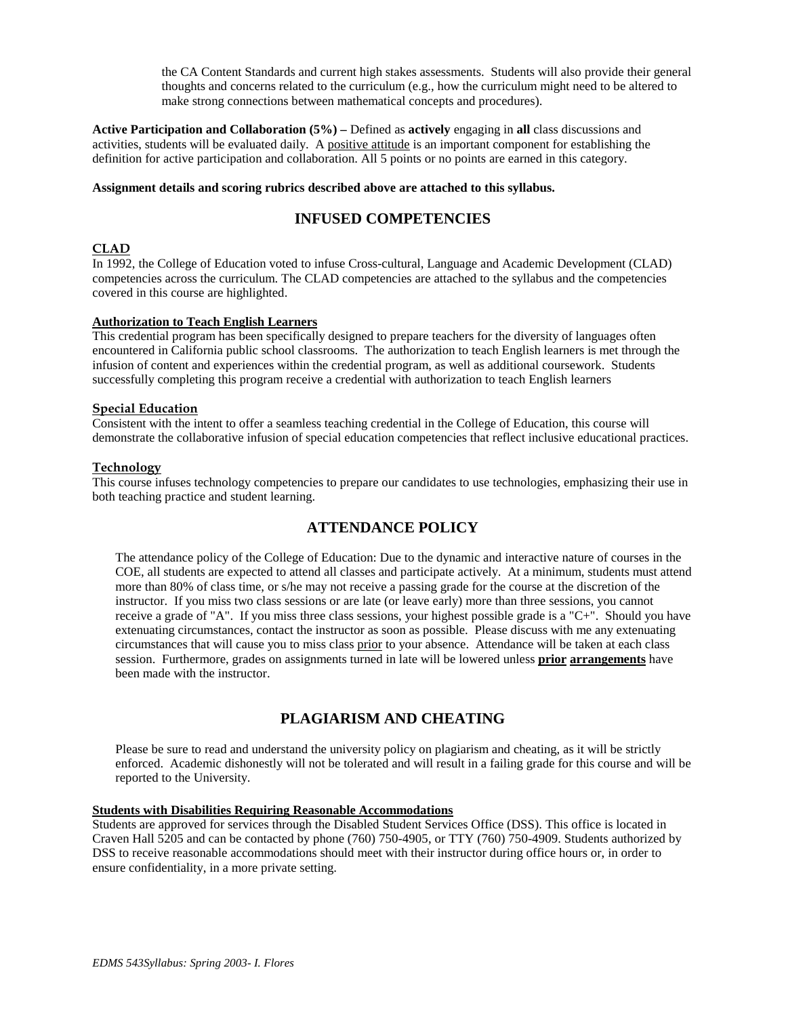the CA Content Standards and current high stakes assessments. Students will also provide their general thoughts and concerns related to the curriculum (e.g., how the curriculum might need to be altered to make strong connections between mathematical concepts and procedures).

**Active Participation and Collaboration (5%) –** Defined as **actively** engaging in **all** class discussions and activities, students will be evaluated daily. A positive attitude is an important component for establishing the definition for active participation and collaboration. All 5 points or no points are earned in this category.

#### **Assignment details and scoring rubrics described above are attached to this syllabus.**

# **INFUSED COMPETENCIES**

## **CLAD**

In 1992, the College of Education voted to infuse Cross-cultural, Language and Academic Development (CLAD) competencies across the curriculum. The CLAD competencies are attached to the syllabus and the competencies covered in this course are highlighted.

#### **Authorization to Teach English Learners**

This credential program has been specifically designed to prepare teachers for the diversity of languages often encountered in California public school classrooms. The authorization to teach English learners is met through the infusion of content and experiences within the credential program, as well as additional coursework. Students successfully completing this program receive a credential with authorization to teach English learners

#### **Special Education**

Consistent with the intent to offer a seamless teaching credential in the College of Education, this course will demonstrate the collaborative infusion of special education competencies that reflect inclusive educational practices.

#### **Technology**

This course infuses technology competencies to prepare our candidates to use technologies, emphasizing their use in both teaching practice and student learning.

# **ATTENDANCE POLICY**

The attendance policy of the College of Education: Due to the dynamic and interactive nature of courses in the COE, all students are expected to attend all classes and participate actively. At a minimum, students must attend more than 80% of class time, or s/he may not receive a passing grade for the course at the discretion of the instructor. If you miss two class sessions or are late (or leave early) more than three sessions, you cannot receive a grade of "A". If you miss three class sessions, your highest possible grade is a "C+". Should you have extenuating circumstances, contact the instructor as soon as possible. Please discuss with me any extenuating circumstances that will cause you to miss class prior to your absence. Attendance will be taken at each class session. Furthermore, grades on assignments turned in late will be lowered unless **prior arrangements** have been made with the instructor.

# **PLAGIARISM AND CHEATING**

Please be sure to read and understand the university policy on plagiarism and cheating, as it will be strictly enforced. Academic dishonestly will not be tolerated and will result in a failing grade for this course and will be reported to the University.

### **Students with Disabilities Requiring Reasonable Accommodations**

Students are approved for services through the Disabled Student Services Office (DSS). This office is located in Craven Hall 5205 and can be contacted by phone (760) 750-4905, or TTY (760) 750-4909. Students authorized by DSS to receive reasonable accommodations should meet with their instructor during office hours or, in order to ensure confidentiality, in a more private setting.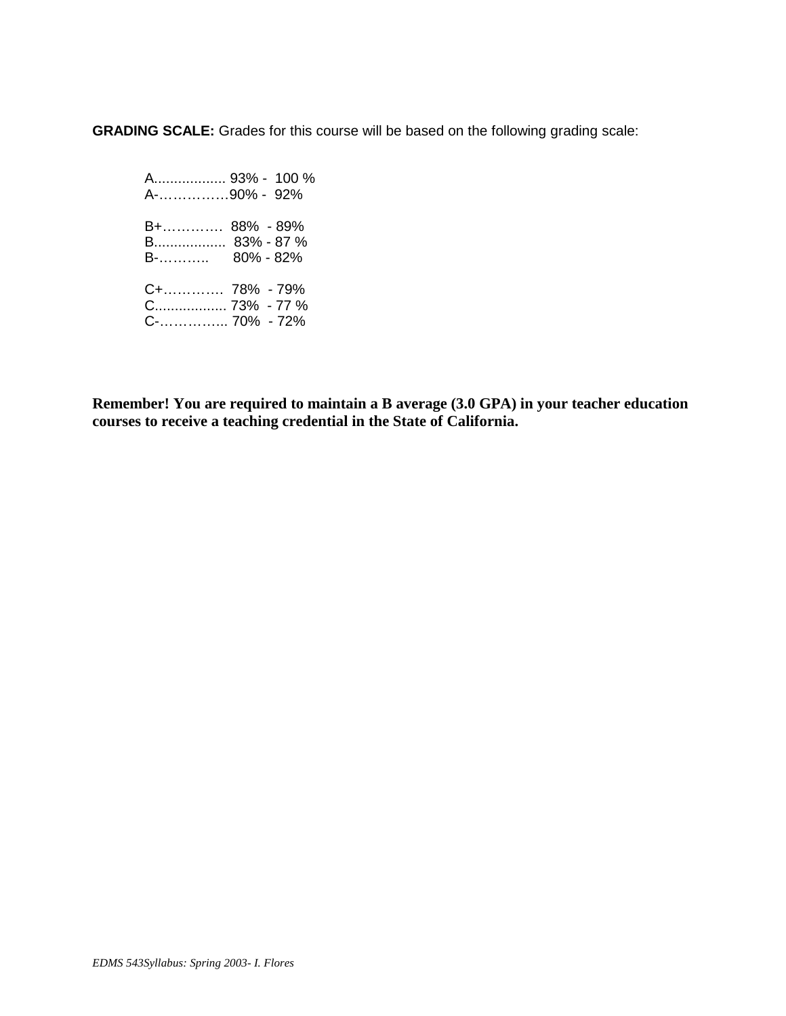**GRADING SCALE:** Grades for this course will be based on the following grading scale:

 A.................. 93% - 100 % A-……………90% - 92% B+…………. 88% - 89% B.................. 83% - 87 % B-……….. 80% - 82% C+…………. 78% - 79% C.................. 73% - 77 % C-…………... 70% - 72%

**Remember! You are required to maintain a B average (3.0 GPA) in your teacher education courses to receive a teaching credential in the State of California.**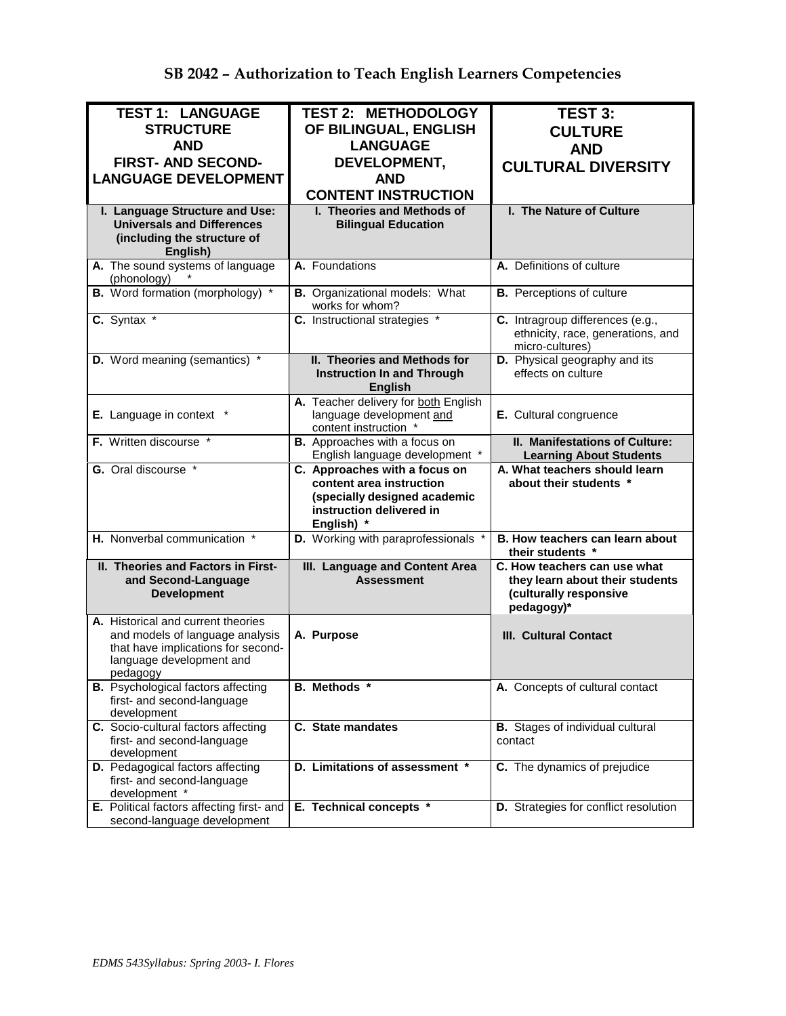| <b>TEST 1: LANGUAGE</b>                                                                                                                             | <b>TEST 2: METHODOLOGY</b>                                                                                                          | <b>TEST 3:</b>                                                                                          |
|-----------------------------------------------------------------------------------------------------------------------------------------------------|-------------------------------------------------------------------------------------------------------------------------------------|---------------------------------------------------------------------------------------------------------|
| <b>STRUCTURE</b>                                                                                                                                    | OF BILINGUAL, ENGLISH                                                                                                               |                                                                                                         |
|                                                                                                                                                     |                                                                                                                                     | <b>CULTURE</b>                                                                                          |
| <b>AND</b>                                                                                                                                          | <b>LANGUAGE</b>                                                                                                                     | <b>AND</b>                                                                                              |
| <b>FIRST- AND SECOND-</b>                                                                                                                           | DEVELOPMENT,                                                                                                                        | <b>CULTURAL DIVERSITY</b>                                                                               |
| <b>LANGUAGE DEVELOPMENT</b>                                                                                                                         | <b>AND</b>                                                                                                                          |                                                                                                         |
|                                                                                                                                                     | <b>CONTENT INSTRUCTION</b>                                                                                                          |                                                                                                         |
| I. Language Structure and Use:<br><b>Universals and Differences</b><br>(including the structure of<br>English)                                      | I. Theories and Methods of<br><b>Bilingual Education</b>                                                                            | I. The Nature of Culture                                                                                |
| A. The sound systems of language<br>(phonology)                                                                                                     | A. Foundations                                                                                                                      | A. Definitions of culture                                                                               |
| <b>B.</b> Word formation (morphology) *                                                                                                             | <b>B.</b> Organizational models: What<br>works for whom?                                                                            | <b>B.</b> Perceptions of culture                                                                        |
| C. Syntax *                                                                                                                                         | C. Instructional strategies *                                                                                                       | C. Intragroup differences (e.g.,<br>ethnicity, race, generations, and<br>micro-cultures)                |
| D. Word meaning (semantics) *                                                                                                                       | II. Theories and Methods for<br><b>Instruction In and Through</b><br><b>English</b>                                                 | D. Physical geography and its<br>effects on culture                                                     |
| E. Language in context *                                                                                                                            | A. Teacher delivery for both English<br>language development and<br>content instruction *                                           | E. Cultural congruence                                                                                  |
| F. Written discourse *                                                                                                                              | <b>B.</b> Approaches with a focus on<br>English language development *                                                              | II. Manifestations of Culture:<br><b>Learning About Students</b>                                        |
| G. Oral discourse *                                                                                                                                 | C. Approaches with a focus on<br>content area instruction<br>(specially designed academic<br>instruction delivered in<br>English) * | A. What teachers should learn<br>about their students *                                                 |
| H. Nonverbal communication *                                                                                                                        | D. Working with paraprofessionals *                                                                                                 | B. How teachers can learn about<br>their students *                                                     |
| II. Theories and Factors in First-<br>and Second-Language<br><b>Development</b>                                                                     | III. Language and Content Area<br><b>Assessment</b>                                                                                 | C. How teachers can use what<br>they learn about their students<br>(culturally responsive<br>pedagogy)* |
| A. Historical and current theories<br>and models of language analysis<br>that have implications for second-<br>language development and<br>pedagogy | A. Purpose                                                                                                                          | <b>III. Cultural Contact</b>                                                                            |
| <b>B.</b> Psychological factors affecting<br>first- and second-language<br>development                                                              | B. Methods *                                                                                                                        | A. Concepts of cultural contact                                                                         |
| C. Socio-cultural factors affecting<br>first- and second-language<br>development                                                                    | C. State mandates                                                                                                                   | <b>B.</b> Stages of individual cultural<br>contact                                                      |
| D. Pedagogical factors affecting<br>first- and second-language<br>development *                                                                     | D. Limitations of assessment *                                                                                                      | C. The dynamics of prejudice                                                                            |
| E. Political factors affecting first- and<br>second-language development                                                                            | E. Technical concepts *                                                                                                             | D. Strategies for conflict resolution                                                                   |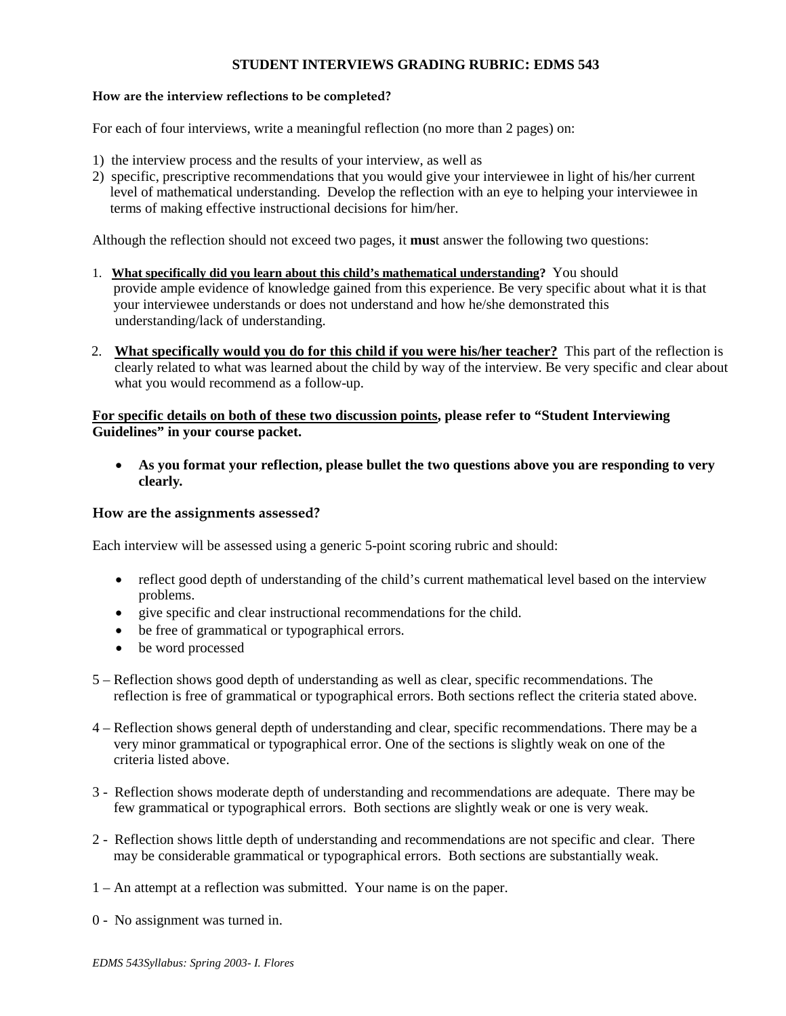# **STUDENT INTERVIEWS GRADING RUBRIC: EDMS 543**

## **How are the interview reflections to be completed?**

For each of four interviews, write a meaningful reflection (no more than 2 pages) on:

- 1) the interview process and the results of your interview, as well as
- 2) specific, prescriptive recommendations that you would give your interviewee in light of his/her current level of mathematical understanding. Develop the reflection with an eye to helping your interviewee in terms of making effective instructional decisions for him/her.

Although the reflection should not exceed two pages, it **mus**t answer the following two questions:

- 1. **What specifically did you learn about this child's mathematical understanding?** You should provide ample evidence of knowledge gained from this experience. Be very specific about what it is that your interviewee understands or does not understand and how he/she demonstrated this understanding/lack of understanding.
- 2. **What specifically would you do for this child if you were his/her teacher?** This part of the reflection is clearly related to what was learned about the child by way of the interview. Be very specific and clear about what you would recommend as a follow-up.

# **For specific details on both of these two discussion points, please refer to "Student Interviewing Guidelines" in your course packet.**

• **As you format your reflection, please bullet the two questions above you are responding to very clearly***.*

### **How are the assignments assessed?**

Each interview will be assessed using a generic 5-point scoring rubric and should:

- reflect good depth of understanding of the child's current mathematical level based on the interview problems.
- give specific and clear instructional recommendations for the child.
- be free of grammatical or typographical errors.
- be word processed
- 5 Reflection shows good depth of understanding as well as clear, specific recommendations. The reflection is free of grammatical or typographical errors. Both sections reflect the criteria stated above.
- 4 Reflection shows general depth of understanding and clear, specific recommendations. There may be a very minor grammatical or typographical error. One of the sections is slightly weak on one of the criteria listed above.
- 3 Reflection shows moderate depth of understanding and recommendations are adequate. There may be few grammatical or typographical errors. Both sections are slightly weak or one is very weak.
- 2 Reflection shows little depth of understanding and recommendations are not specific and clear. There may be considerable grammatical or typographical errors. Both sections are substantially weak.
- 1 An attempt at a reflection was submitted. Your name is on the paper.
- 0 No assignment was turned in.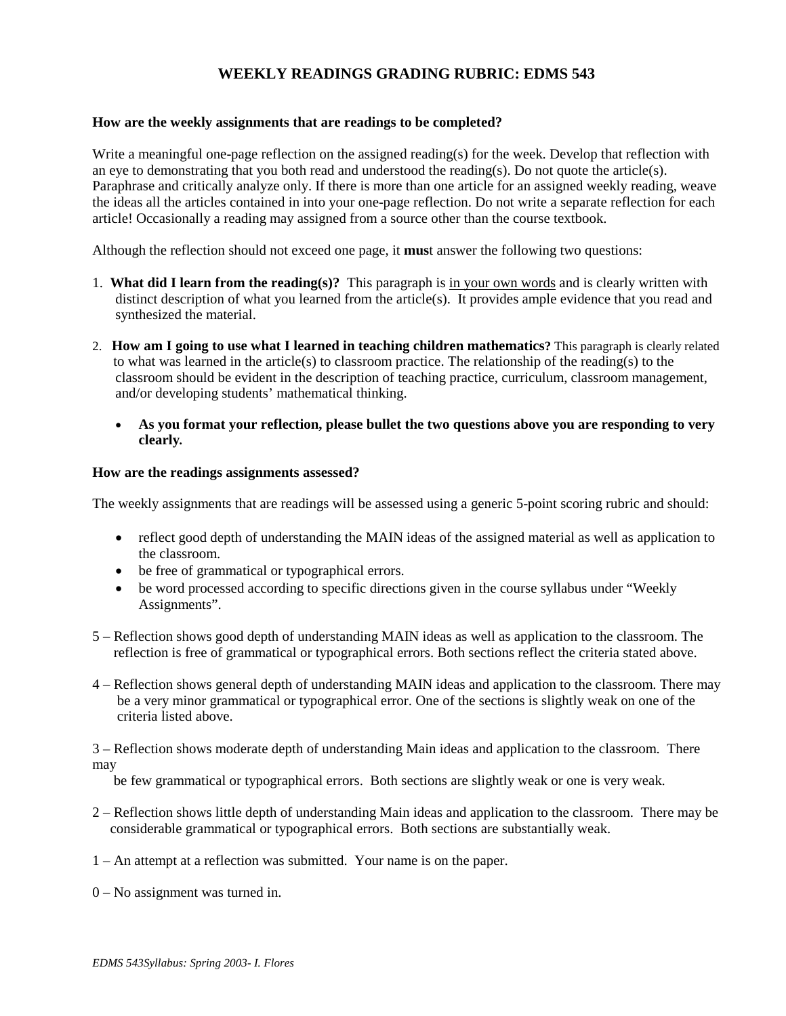# **WEEKLY READINGS GRADING RUBRIC: EDMS 543**

### **How are the weekly assignments that are readings to be completed?**

Write a meaningful one-page reflection on the assigned reading(s) for the week. Develop that reflection with an eye to demonstrating that you both read and understood the reading(s). Do not quote the article(s). Paraphrase and critically analyze only. If there is more than one article for an assigned weekly reading, weave the ideas all the articles contained in into your one-page reflection. Do not write a separate reflection for each article! Occasionally a reading may assigned from a source other than the course textbook.

Although the reflection should not exceed one page, it **mus**t answer the following two questions:

- 1. **What did I learn from the reading(s)?** This paragraph is in your own words and is clearly written with distinct description of what you learned from the article(s). It provides ample evidence that you read and synthesized the material.
- 2. **How am I going to use what I learned in teaching children mathematics?** This paragraph is clearly related to what was learned in the article(s) to classroom practice. The relationship of the reading(s) to the classroom should be evident in the description of teaching practice, curriculum, classroom management, and/or developing students' mathematical thinking.
	- **As you format your reflection, please bullet the two questions above you are responding to very clearly***.*

### **How are the readings assignments assessed?**

The weekly assignments that are readings will be assessed using a generic 5-point scoring rubric and should:

- reflect good depth of understanding the MAIN ideas of the assigned material as well as application to the classroom.
- be free of grammatical or typographical errors.
- be word processed according to specific directions given in the course syllabus under "Weekly" Assignments".
- 5 Reflection shows good depth of understanding MAIN ideas as well as application to the classroom. The reflection is free of grammatical or typographical errors. Both sections reflect the criteria stated above.
- 4 Reflection shows general depth of understanding MAIN ideas and application to the classroom. There may be a very minor grammatical or typographical error. One of the sections is slightly weak on one of the criteria listed above.

3 – Reflection shows moderate depth of understanding Main ideas and application to the classroom. There may

be few grammatical or typographical errors. Both sections are slightly weak or one is very weak.

- 2 Reflection shows little depth of understanding Main ideas and application to the classroom. There may be considerable grammatical or typographical errors. Both sections are substantially weak.
- 1 An attempt at a reflection was submitted. Your name is on the paper.
- 0 No assignment was turned in.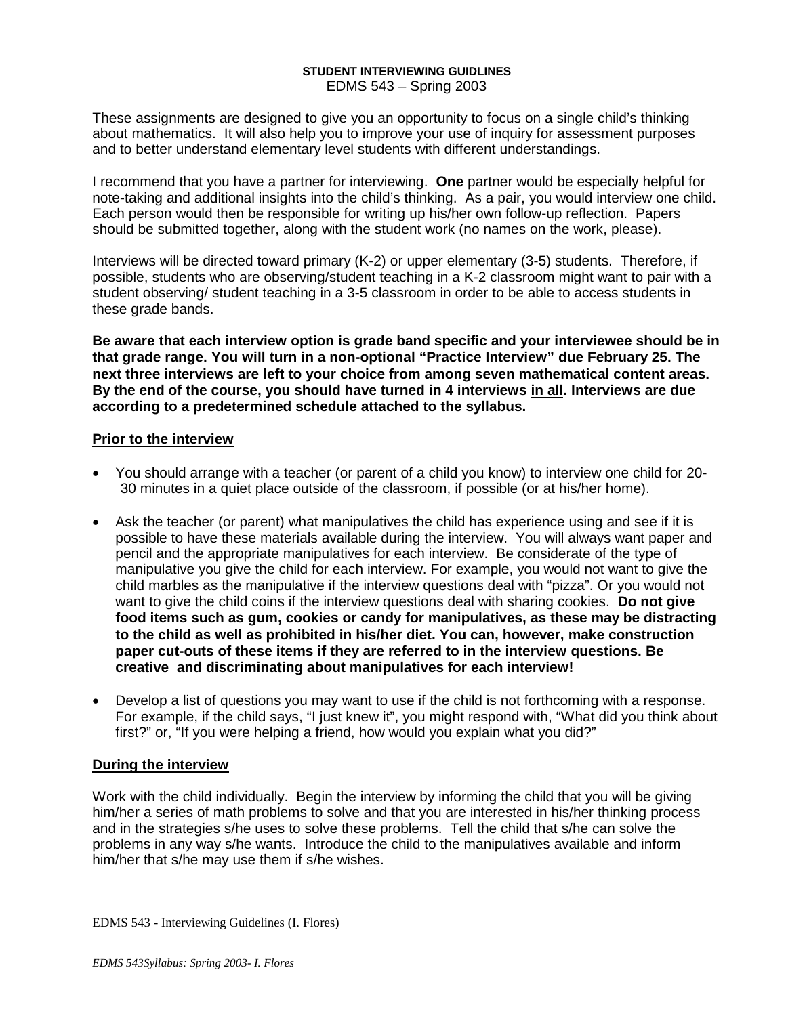### **STUDENT INTERVIEWING GUIDLINES** EDMS 543 – Spring 2003

These assignments are designed to give you an opportunity to focus on a single child's thinking about mathematics. It will also help you to improve your use of inquiry for assessment purposes and to better understand elementary level students with different understandings.

I recommend that you have a partner for interviewing. **One** partner would be especially helpful for note-taking and additional insights into the child's thinking. As a pair, you would interview one child. Each person would then be responsible for writing up his/her own follow-up reflection. Papers should be submitted together, along with the student work (no names on the work, please).

Interviews will be directed toward primary (K-2) or upper elementary (3-5) students. Therefore, if possible, students who are observing/student teaching in a K-2 classroom might want to pair with a student observing/ student teaching in a 3-5 classroom in order to be able to access students in these grade bands.

**Be aware that each interview option is grade band specific and your interviewee should be in that grade range. You will turn in a non-optional "Practice Interview" due February 25. The next three interviews are left to your choice from among seven mathematical content areas. By the end of the course, you should have turned in 4 interviews in all. Interviews are due according to a predetermined schedule attached to the syllabus.**

# **Prior to the interview**

- You should arrange with a teacher (or parent of a child you know) to interview one child for 20- 30 minutes in a quiet place outside of the classroom, if possible (or at his/her home).
- Ask the teacher (or parent) what manipulatives the child has experience using and see if it is possible to have these materials available during the interview. You will always want paper and pencil and the appropriate manipulatives for each interview. Be considerate of the type of manipulative you give the child for each interview. For example, you would not want to give the child marbles as the manipulative if the interview questions deal with "pizza". Or you would not want to give the child coins if the interview questions deal with sharing cookies. **Do not give food items such as gum, cookies or candy for manipulatives, as these may be distracting to the child as well as prohibited in his/her diet. You can, however, make construction paper cut-outs of these items if they are referred to in the interview questions. Be creative and discriminating about manipulatives for each interview!**
- Develop a list of questions you may want to use if the child is not forthcoming with a response. For example, if the child says, "I just knew it", you might respond with, "What did you think about first?" or, "If you were helping a friend, how would you explain what you did?"

# **During the interview**

Work with the child individually. Begin the interview by informing the child that you will be giving him/her a series of math problems to solve and that you are interested in his/her thinking process and in the strategies s/he uses to solve these problems. Tell the child that s/he can solve the problems in any way s/he wants. Introduce the child to the manipulatives available and inform him/her that s/he may use them if s/he wishes.

EDMS 543 - Interviewing Guidelines (I. Flores)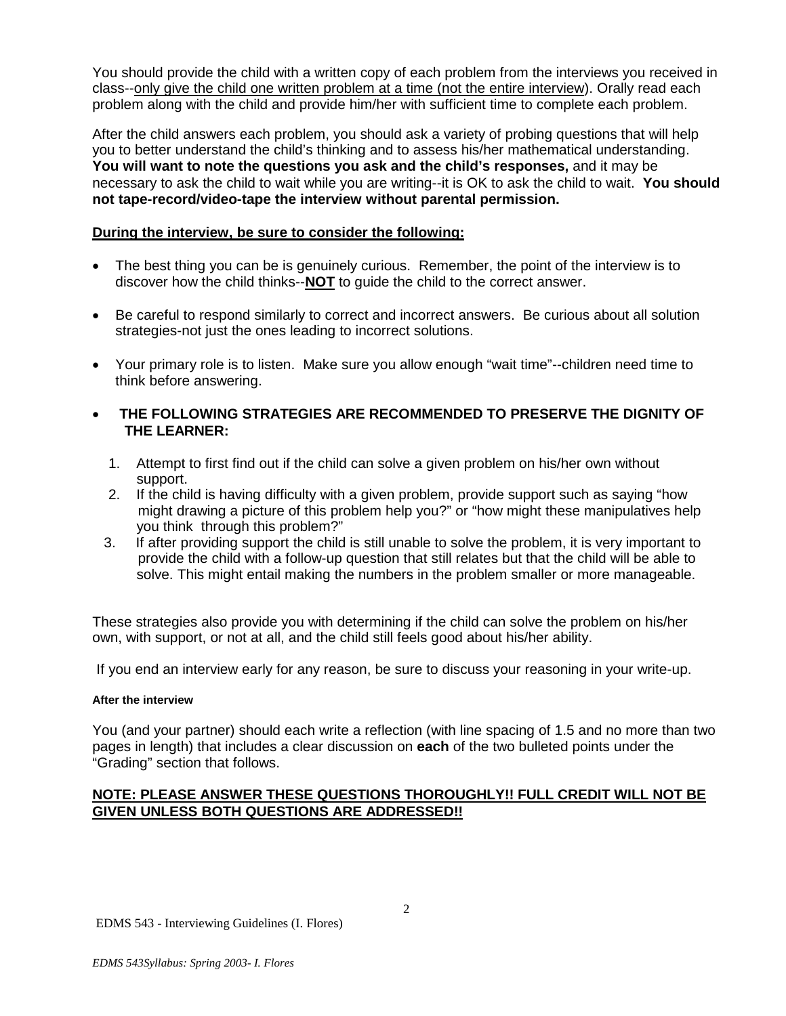You should provide the child with a written copy of each problem from the interviews you received in class--only give the child one written problem at a time (not the entire interview). Orally read each problem along with the child and provide him/her with sufficient time to complete each problem.

After the child answers each problem, you should ask a variety of probing questions that will help you to better understand the child's thinking and to assess his/her mathematical understanding. **You will want to note the questions you ask and the child's responses,** and it may be necessary to ask the child to wait while you are writing--it is OK to ask the child to wait. **You should not tape-record/video-tape the interview without parental permission.**

# **During the interview, be sure to consider the following:**

- The best thing you can be is genuinely curious. Remember, the point of the interview is to discover how the child thinks--**NOT** to guide the child to the correct answer.
- Be careful to respond similarly to correct and incorrect answers. Be curious about all solution strategies-not just the ones leading to incorrect solutions.
- Your primary role is to listen. Make sure you allow enough "wait time"--children need time to think before answering.
- **THE FOLLOWING STRATEGIES ARE RECOMMENDED TO PRESERVE THE DIGNITY OF THE LEARNER:**
	- 1. Attempt to first find out if the child can solve a given problem on his/her own without support.
	- 2. If the child is having difficulty with a given problem, provide support such as saying "how might drawing a picture of this problem help you?" or "how might these manipulatives help you think through this problem?"<br>3. If after providing support the child
	- If after providing support the child is still unable to solve the problem, it is very important to provide the child with a follow-up question that still relates but that the child will be able to solve. This might entail making the numbers in the problem smaller or more manageable.

These strategies also provide you with determining if the child can solve the problem on his/her own, with support, or not at all, and the child still feels good about his/her ability.

If you end an interview early for any reason, be sure to discuss your reasoning in your write-up.

# **After the interview**

You (and your partner) should each write a reflection (with line spacing of 1.5 and no more than two pages in length) that includes a clear discussion on **each** of the two bulleted points under the "Grading" section that follows.

# **NOTE: PLEASE ANSWER THESE QUESTIONS THOROUGHLY!! FULL CREDIT WILL NOT BE GIVEN UNLESS BOTH QUESTIONS ARE ADDRESSED!!**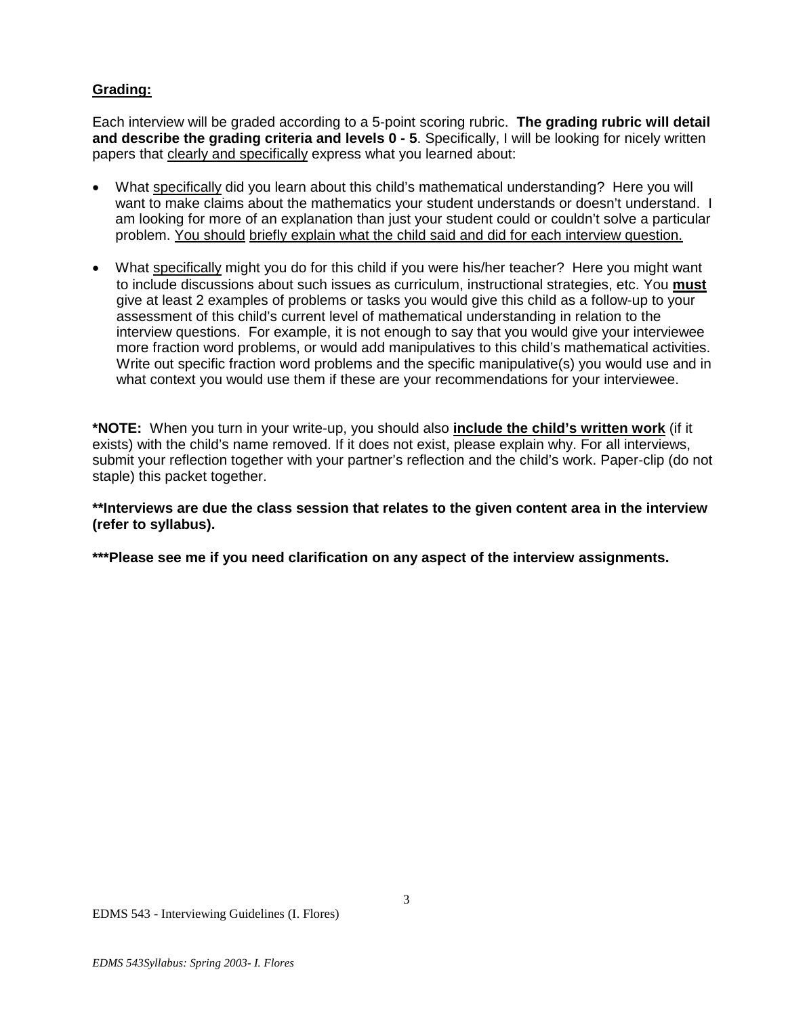# **Grading:**

Each interview will be graded according to a 5-point scoring rubric. **The grading rubric will detail and describe the grading criteria and levels 0 - 5**. Specifically, I will be looking for nicely written papers that clearly and specifically express what you learned about:

- What specifically did you learn about this child's mathematical understanding? Here you will want to make claims about the mathematics your student understands or doesn't understand. I am looking for more of an explanation than just your student could or couldn't solve a particular problem. You should briefly explain what the child said and did for each interview question.
- What specifically might you do for this child if you were his/her teacher? Here you might want to include discussions about such issues as curriculum, instructional strategies, etc. You **must** give at least 2 examples of problems or tasks you would give this child as a follow-up to your assessment of this child's current level of mathematical understanding in relation to the interview questions. For example, it is not enough to say that you would give your interviewee more fraction word problems, or would add manipulatives to this child's mathematical activities. Write out specific fraction word problems and the specific manipulative(s) you would use and in what context you would use them if these are your recommendations for your interviewee.

**\*NOTE:** When you turn in your write-up, you should also **include the child's written work** (if it exists) with the child's name removed. If it does not exist, please explain why. For all interviews, submit your reflection together with your partner's reflection and the child's work. Paper-clip (do not staple) this packet together.

**\*\*Interviews are due the class session that relates to the given content area in the interview (refer to syllabus).** 

**\*\*\*Please see me if you need clarification on any aspect of the interview assignments.**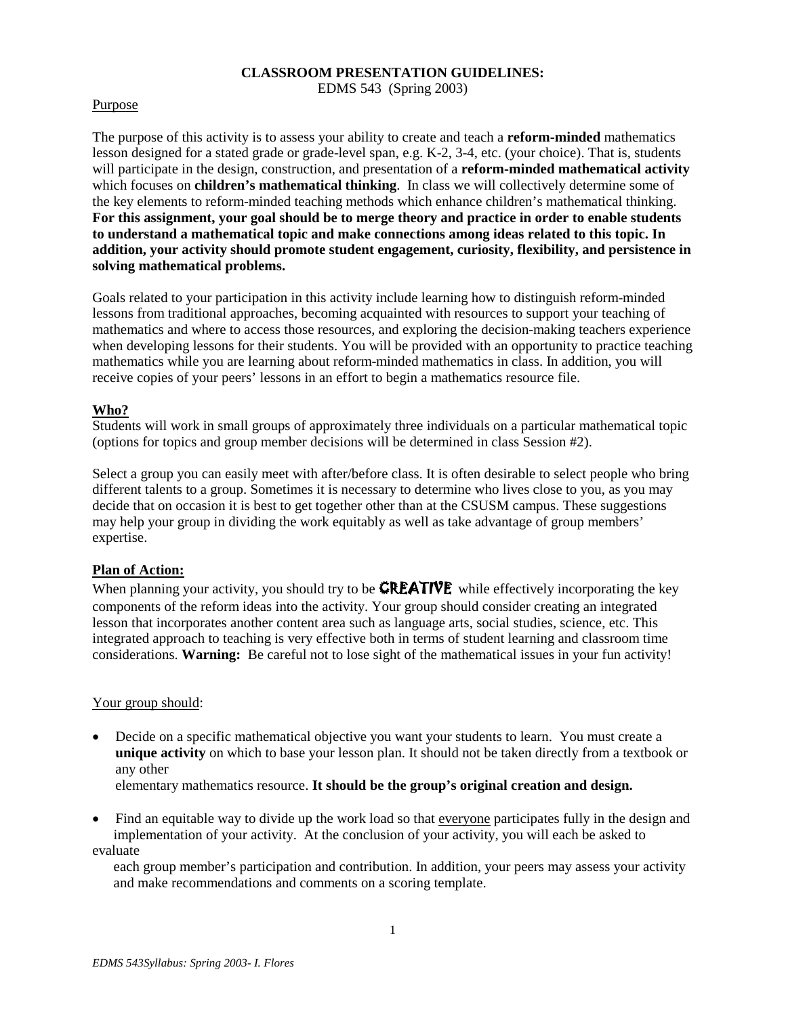# **CLASSROOM PRESENTATION GUIDELINES:**

EDMS 543 (Spring 2003)

# Purpose

The purpose of this activity is to assess your ability to create and teach a **reform-minded** mathematics lesson designed for a stated grade or grade-level span, e.g. K-2, 3-4, etc. (your choice). That is, students will participate in the design, construction, and presentation of a **reform-minded mathematical activity** which focuses on **children's mathematical thinking**. In class we will collectively determine some of the key elements to reform-minded teaching methods which enhance children's mathematical thinking. **For this assignment, your goal should be to merge theory and practice in order to enable students to understand a mathematical topic and make connections among ideas related to this topic. In addition, your activity should promote student engagement, curiosity, flexibility, and persistence in solving mathematical problems.**

Goals related to your participation in this activity include learning how to distinguish reform-minded lessons from traditional approaches, becoming acquainted with resources to support your teaching of mathematics and where to access those resources, and exploring the decision-making teachers experience when developing lessons for their students. You will be provided with an opportunity to practice teaching mathematics while you are learning about reform-minded mathematics in class. In addition, you will receive copies of your peers' lessons in an effort to begin a mathematics resource file.

# **Who?**

Students will work in small groups of approximately three individuals on a particular mathematical topic (options for topics and group member decisions will be determined in class Session #2).

Select a group you can easily meet with after/before class. It is often desirable to select people who bring different talents to a group. Sometimes it is necessary to determine who lives close to you, as you may decide that on occasion it is best to get together other than at the CSUSM campus. These suggestions may help your group in dividing the work equitably as well as take advantage of group members' expertise.

# **Plan of Action:**

When planning your activity, you should try to be **CREATIVE** while effectively incorporating the key components of the reform ideas into the activity. Your group should consider creating an integrated lesson that incorporates another content area such as language arts, social studies, science, etc. This integrated approach to teaching is very effective both in terms of student learning and classroom time considerations. **Warning:** Be careful not to lose sight of the mathematical issues in your fun activity!

# Your group should:

• Decide on a specific mathematical objective you want your students to learn. You must create a **unique activity** on which to base your lesson plan. It should not be taken directly from a textbook or any other

elementary mathematics resource. **It should be the group's original creation and design.** 

• Find an equitable way to divide up the work load so that everyone participates fully in the design and implementation of your activity. At the conclusion of your activity, you will each be asked to evaluate

 each group member's participation and contribution. In addition, your peers may assess your activity and make recommendations and comments on a scoring template.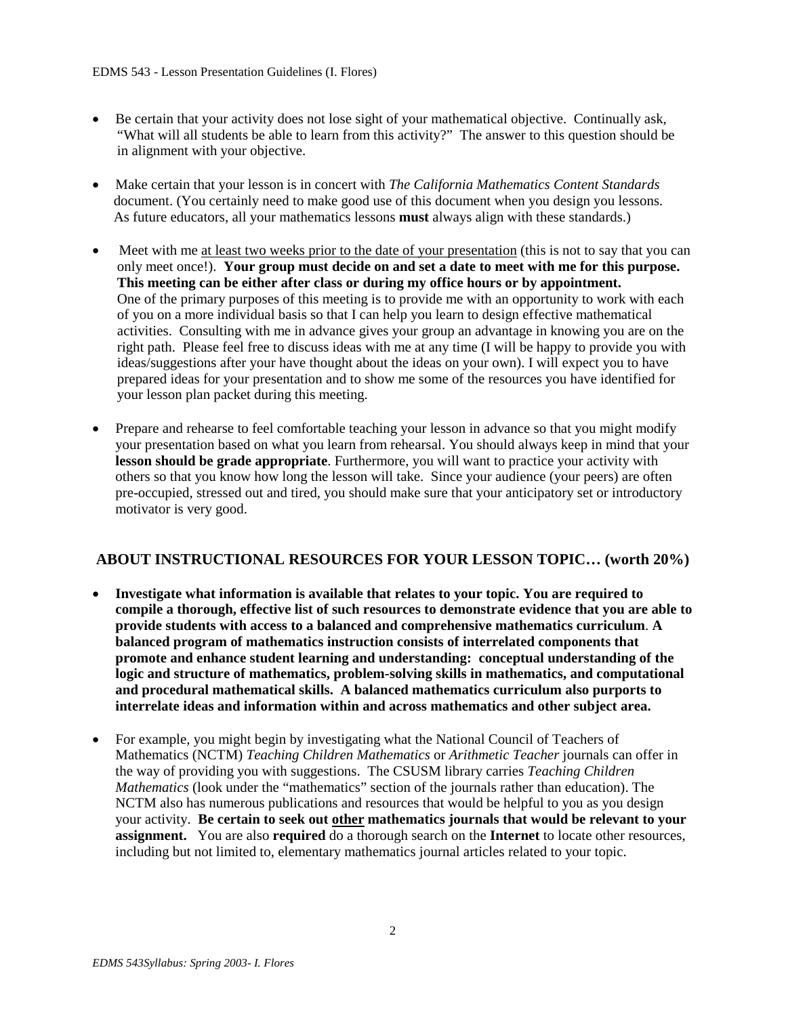- Be certain that your activity does not lose sight of your mathematical objective. Continually ask, "What will all students be able to learn from this activity?" The answer to this question should be in alignment with your objective.
- Make certain that your lesson is in concert with *The California Mathematics Content Standards* document. (You certainly need to make good use of this document when you design you lessons. As future educators, all your mathematics lessons **must** always align with these standards.)
- Meet with me <u>at least two weeks prior to the date of your presentation</u> (this is not to say that you can only meet once!). **Your group must decide on and set a date to meet with me for this purpose. This meeting can be either after class or during my office hours or by appointment.** One of the primary purposes of this meeting is to provide me with an opportunity to work with each of you on a more individual basis so that I can help you learn to design effective mathematical activities. Consulting with me in advance gives your group an advantage in knowing you are on the right path. Please feel free to discuss ideas with me at any time (I will be happy to provide you with ideas/suggestions after your have thought about the ideas on your own). I will expect you to have prepared ideas for your presentation and to show me some of the resources you have identified for your lesson plan packet during this meeting.
- Prepare and rehearse to feel comfortable teaching your lesson in advance so that you might modify your presentation based on what you learn from rehearsal. You should always keep in mind that your **lesson should be grade appropriate**. Furthermore, you will want to practice your activity with others so that you know how long the lesson will take. Since your audience (your peers) are often pre-occupied, stressed out and tired, you should make sure that your anticipatory set or introductory motivator is very good.

# **ABOUT INSTRUCTIONAL RESOURCES FOR YOUR LESSON TOPIC… (worth 20%)**

- **Investigate what information is available that relates to your topic. You are required to compile a thorough, effective list of such resources to demonstrate evidence that you are able to provide students with access to a balanced and comprehensive mathematics curriculum**. **A balanced program of mathematics instruction consists of interrelated components that promote and enhance student learning and understanding: conceptual understanding of the logic and structure of mathematics, problem-solving skills in mathematics, and computational and procedural mathematical skills. A balanced mathematics curriculum also purports to interrelate ideas and information within and across mathematics and other subject area.**
- For example, you might begin by investigating what the National Council of Teachers of Mathematics (NCTM) *Teaching Children Mathematics* or *Arithmetic Teacher* journals can offer in the way of providing you with suggestions. The CSUSM library carries *Teaching Children Mathematics* (look under the "mathematics" section of the journals rather than education). The NCTM also has numerous publications and resources that would be helpful to you as you design your activity. **Be certain to seek out other mathematics journals that would be relevant to your assignment.** You are also **required** do a thorough search on the **Internet** to locate other resources, including but not limited to, elementary mathematics journal articles related to your topic.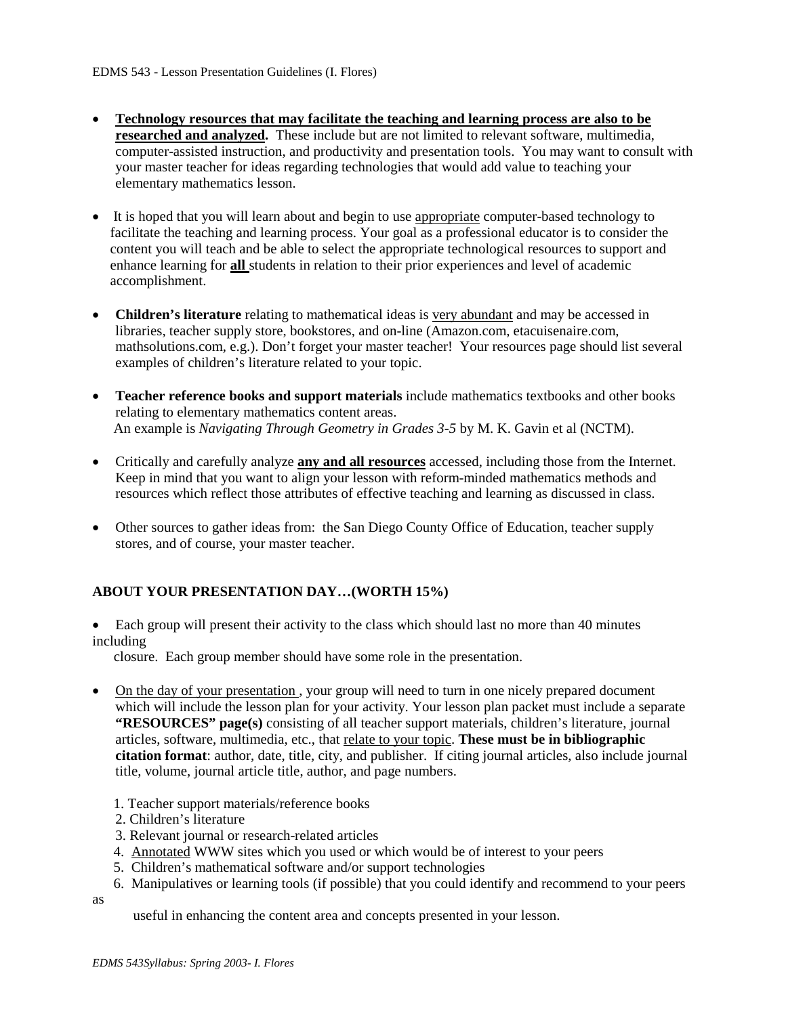- **Technology resources that may facilitate the teaching and learning process are also to be researched and analyzed.** These include but are not limited to relevant software, multimedia, computer-assisted instruction, and productivity and presentation tools. You may want to consult with your master teacher for ideas regarding technologies that would add value to teaching your elementary mathematics lesson.
- It is hoped that you will learn about and begin to use appropriate computer-based technology to facilitate the teaching and learning process. Your goal as a professional educator is to consider the content you will teach and be able to select the appropriate technological resources to support and enhance learning for **all** students in relation to their prior experiences and level of academic accomplishment.
- **Children's literature** relating to mathematical ideas is very abundant and may be accessed in libraries, teacher supply store, bookstores, and on-line (Amazon.com, etacuisenaire.com, mathsolutions.com, e.g.). Don't forget your master teacher! Your resources page should list several examples of children's literature related to your topic.
- **Teacher reference books and support materials** include mathematics textbooks and other books relating to elementary mathematics content areas. An example is *Navigating Through Geometry in Grades 3-5* by M. K. Gavin et al (NCTM).
- Critically and carefully analyze **any and all resources** accessed, including those from the Internet. Keep in mind that you want to align your lesson with reform-minded mathematics methods and resources which reflect those attributes of effective teaching and learning as discussed in class.
- Other sources to gather ideas from: the San Diego County Office of Education, teacher supply stores, and of course, your master teacher.

# **ABOUT YOUR PRESENTATION DAY…(WORTH 15%)**

• Each group will present their activity to the class which should last no more than 40 minutes including

closure.Each group member should have some role in the presentation.

- On the day of your presentation, your group will need to turn in one nicely prepared document which will include the lesson plan for your activity. Your lesson plan packet must include a separate **"RESOURCES" page(s)** consisting of all teacher support materials, children's literature, journal articles, software, multimedia, etc., that relate to your topic. **These must be in bibliographic citation format**: author, date, title, city, and publisher. If citing journal articles, also include journal title, volume, journal article title, author, and page numbers.
	- 1. Teacher support materials/reference books
	- 2. Children's literature
	- 3. Relevant journal or research-related articles
	- 4. Annotated WWW sites which you used or which would be of interest to your peers
	- 5. Children's mathematical software and/or support technologies
	- 6. Manipulatives or learning tools (if possible) that you could identify and recommend to your peers

as

useful in enhancing the content area and concepts presented in your lesson.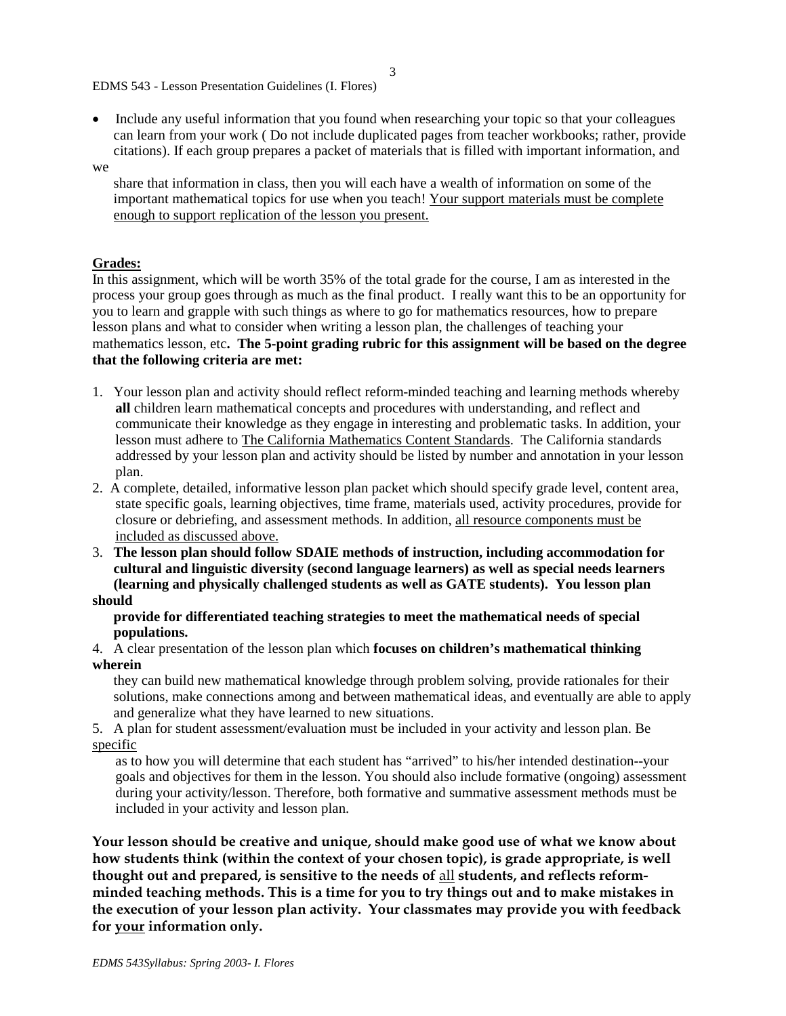EDMS 543 - Lesson Presentation Guidelines (I. Flores)

• Include any useful information that you found when researching your topic so that your colleagues can learn from your work ( Do not include duplicated pages from teacher workbooks; rather, provide citations). If each group prepares a packet of materials that is filled with important information, and

### we

 share that information in class, then you will each have a wealth of information on some of the important mathematical topics for use when you teach! Your support materials must be complete enough to support replication of the lesson you present.

### **Grades:**

In this assignment, which will be worth 35% of the total grade for the course, I am as interested in the process your group goes through as much as the final product. I really want this to be an opportunity for you to learn and grapple with such things as where to go for mathematics resources, how to prepare lesson plans and what to consider when writing a lesson plan, the challenges of teaching your mathematics lesson, etc**. The 5-point grading rubric for this assignment will be based on the degree that the following criteria are met:**

- 1. Your lesson plan and activity should reflect reform-minded teaching and learning methods whereby **all** children learn mathematical concepts and procedures with understanding, and reflect and communicate their knowledge as they engage in interesting and problematic tasks. In addition, your lesson must adhere to The California Mathematics Content Standards. The California standards addressed by your lesson plan and activity should be listed by number and annotation in your lesson plan.
- 2. A complete, detailed, informative lesson plan packet which should specify grade level, content area, state specific goals, learning objectives, time frame, materials used, activity procedures, provide for closure or debriefing, and assessment methods. In addition, all resource components must be included as discussed above.
- 3. **The lesson plan should follow SDAIE methods of instruction, including accommodation for cultural and linguistic diversity (second language learners) as well as special needs learners (learning and physically challenged students as well as GATE students). You lesson plan should**

### **provide for differentiated teaching strategies to meet the mathematical needs of special populations.**

4. A clear presentation of the lesson plan which **focuses on children's mathematical thinking wherein**

 they can build new mathematical knowledge through problem solving, provide rationales for their solutions, make connections among and between mathematical ideas, and eventually are able to apply and generalize what they have learned to new situations.

5. A plan for student assessment/evaluation must be included in your activity and lesson plan. Be specific

as to how you will determine that each student has "arrived" to his/her intended destination--your goals and objectives for them in the lesson. You should also include formative (ongoing) assessment during your activity/lesson. Therefore, both formative and summative assessment methods must be included in your activity and lesson plan.

**Your lesson should be creative and unique, should make good use of what we know about how students think (within the context of your chosen topic), is grade appropriate, is well thought out and prepared, is sensitive to the needs of** all **students, and reflects reformminded teaching methods. This is a time for you to try things out and to make mistakes in the execution of your lesson plan activity. Your classmates may provide you with feedback for your information only.**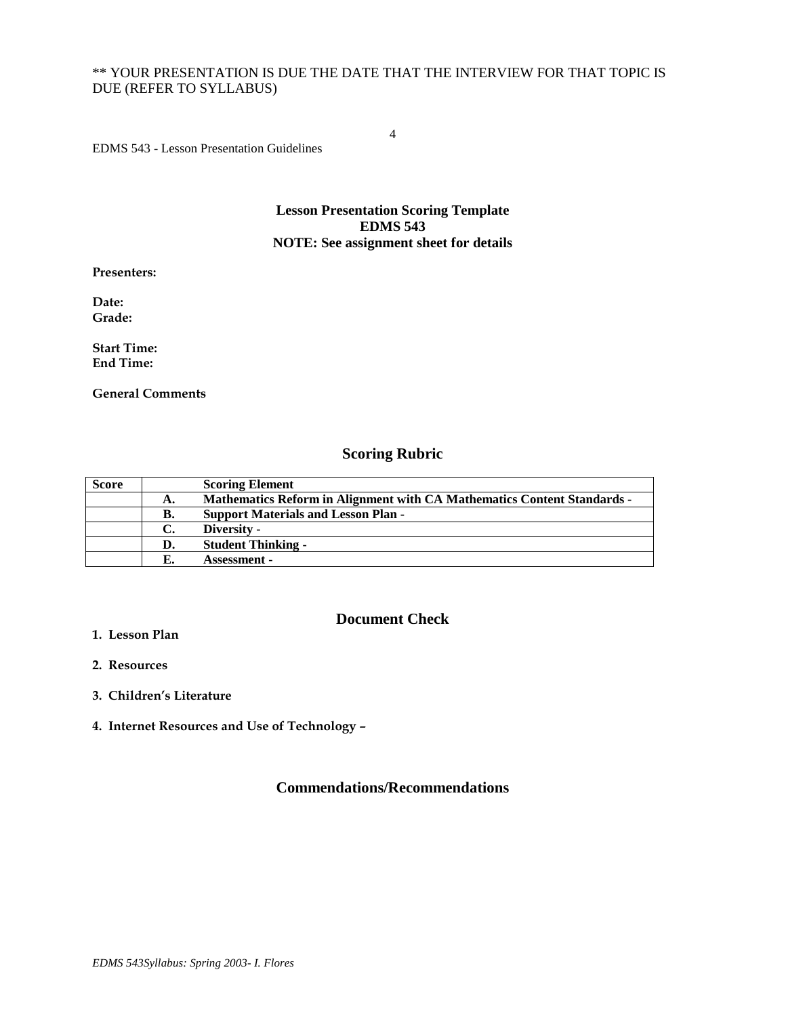# \*\* YOUR PRESENTATION IS DUE THE DATE THAT THE INTERVIEW FOR THAT TOPIC IS DUE (REFER TO SYLLABUS)

4

EDMS 543 - Lesson Presentation Guidelines

## **Lesson Presentation Scoring Template EDMS 543 NOTE: See assignment sheet for details**

**Presenters:**

**Date: Grade:**

**Start Time: End Time:**

**General Comments**

# **Scoring Rubric**

| <b>Score</b> |    | <b>Scoring Element</b>                                                         |
|--------------|----|--------------------------------------------------------------------------------|
|              | А. | <b>Mathematics Reform in Alignment with CA Mathematics Content Standards -</b> |
|              | В. | <b>Support Materials and Lesson Plan -</b>                                     |
|              | C. | Diversity -                                                                    |
|              | D. | <b>Student Thinking -</b>                                                      |
|              |    | <b>Assessment -</b>                                                            |

# **Document Check**

- **1. Lesson Plan**
- **2. Resources**
- **3. Children's Literature**
- **4. Internet Resources and Use of Technology –**

# **Commendations/Recommendations**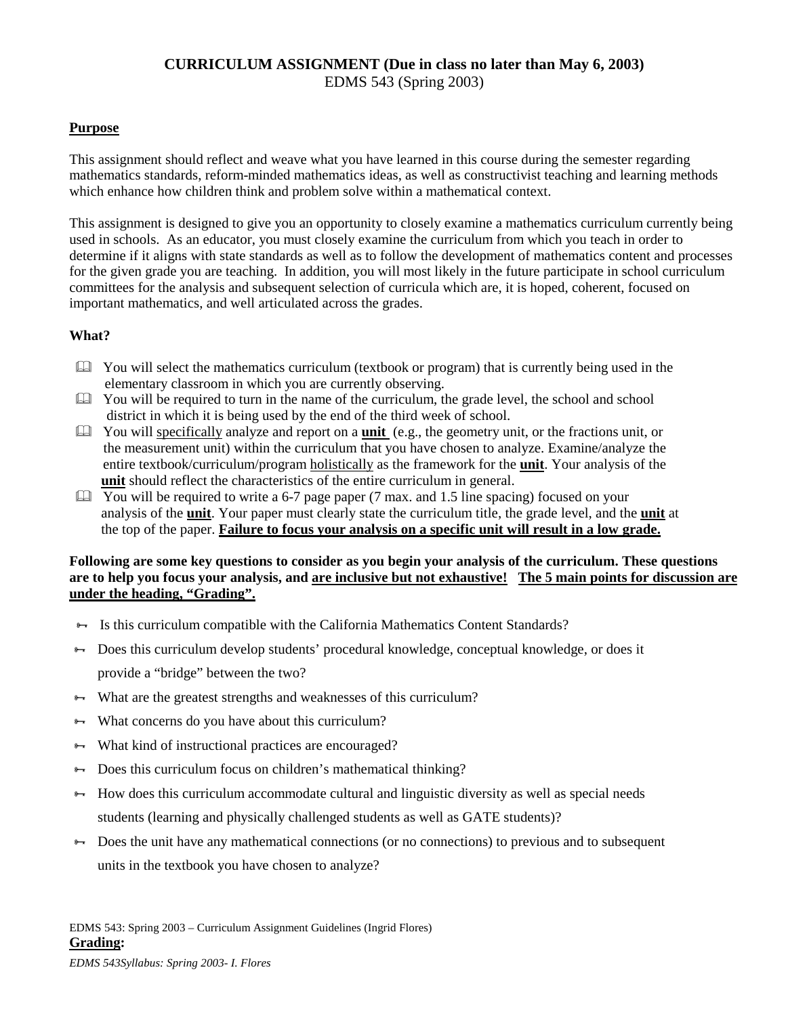# **CURRICULUM ASSIGNMENT (Due in class no later than May 6, 2003)** EDMS 543 (Spring 2003)

# **Purpose**

This assignment should reflect and weave what you have learned in this course during the semester regarding mathematics standards, reform-minded mathematics ideas, as well as constructivist teaching and learning methods which enhance how children think and problem solve within a mathematical context.

This assignment is designed to give you an opportunity to closely examine a mathematics curriculum currently being used in schools. As an educator, you must closely examine the curriculum from which you teach in order to determine if it aligns with state standards as well as to follow the development of mathematics content and processes for the given grade you are teaching. In addition, you will most likely in the future participate in school curriculum committees for the analysis and subsequent selection of curricula which are, it is hoped, coherent, focused on important mathematics, and well articulated across the grades.

# **What?**

- $\Box$  You will select the mathematics curriculum (textbook or program) that is currently being used in the elementary classroom in which you are currently observing.
- $\Box$  You will be required to turn in the name of the curriculum, the grade level, the school and school district in which it is being used by the end of the third week of school.
- You will specifically analyze and report on a **unit** (e.g., the geometry unit, or the fractions unit, or the measurement unit) within the curriculum that you have chosen to analyze. Examine/analyze the entire textbook/curriculum/program holistically as the framework for the **unit**. Your analysis of the **unit** should reflect the characteristics of the entire curriculum in general.
- $\Box$  You will be required to write a 6-7 page paper (7 max. and 1.5 line spacing) focused on your analysis of the **unit**. Your paper must clearly state the curriculum title, the grade level, and the **unit** at the top of the paper. **Failure to focus your analysis on a specific unit will result in a low grade.**

# **Following are some key questions to consider as you begin your analysis of the curriculum. These questions are to help you focus your analysis, and are inclusive but not exhaustive! The 5 main points for discussion are under the heading, "Grading".**

- $\rightarrow$  Is this curriculum compatible with the California Mathematics Content Standards?
- Does this curriculum develop students' procedural knowledge, conceptual knowledge, or does it provide a "bridge" between the two?
- $\rightarrow$  What are the greatest strengths and weaknesses of this curriculum?
- $\rightarrow$  What concerns do you have about this curriculum?
- **→** What kind of instructional practices are encouraged?
- $\rightarrow$  Does this curriculum focus on children's mathematical thinking?
- $\rightarrow$  How does this curriculum accommodate cultural and linguistic diversity as well as special needs students (learning and physically challenged students as well as GATE students)?
- $\rightarrow$  Does the unit have any mathematical connections (or no connections) to previous and to subsequent units in the textbook you have chosen to analyze?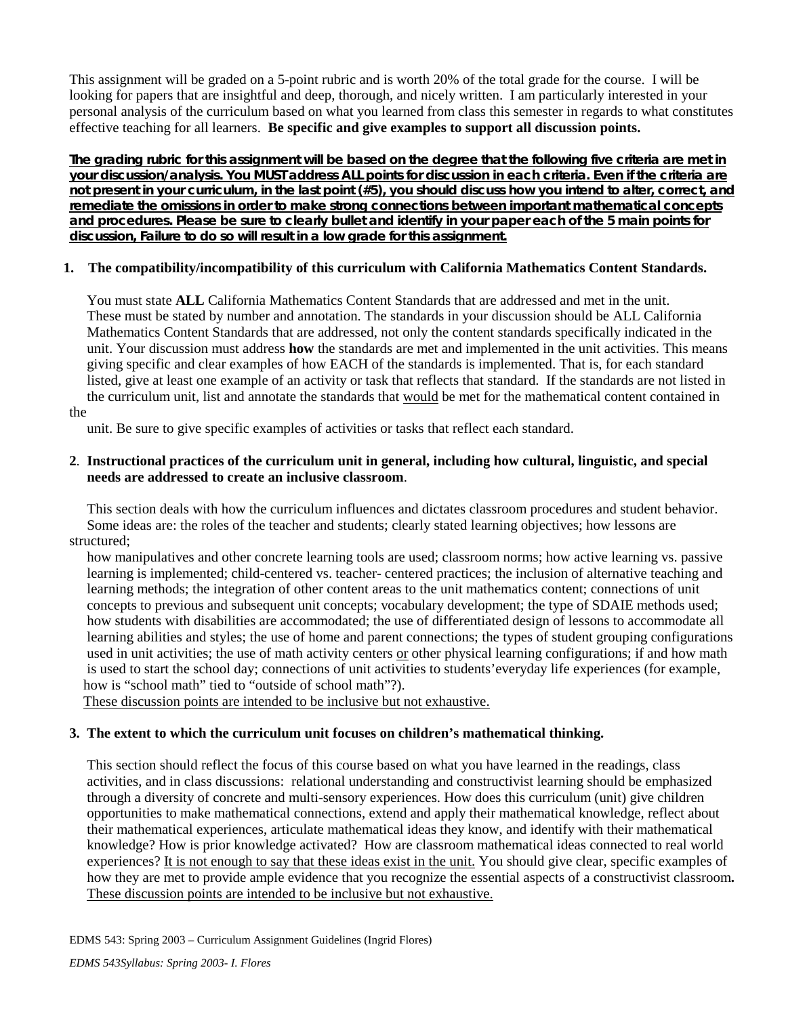This assignment will be graded on a 5-point rubric and is worth 20% of the total grade for the course. I will be looking for papers that are insightful and deep, thorough, and nicely written. I am particularly interested in your personal analysis of the curriculum based on what you learned from class this semester in regards to what constitutes effective teaching for all learners. **Be specific and give examples to support all discussion points.**

**The grading rubric for this assignment will be based on the degree that the following five criteria are met in your discussion/analysis. You MUST address ALL points for discussion in each criteria. Even if the criteria are not present in your curriculum, in the last point (#5), you should discuss how you intend to alter, correct, and remediate the omissions in order to make strong connections between important mathematical concepts and procedures. Please be sure to clearly bullet and identify in your paper each of the 5 main points for discussion, Failure to do so will result in a low grade for this assignment.**

# **1. The compatibility/incompatibility of this curriculum with California Mathematics Content Standards.**

 You must state **ALL** California Mathematics Content Standards that are addressed and met in the unit. These must be stated by number and annotation. The standards in your discussion should be ALL California Mathematics Content Standards that are addressed, not only the content standards specifically indicated in the unit. Your discussion must address **how** the standards are met and implemented in the unit activities. This means giving specific and clear examples of how EACH of the standards is implemented. That is, for each standard listed, give at least one example of an activity or task that reflects that standard. If the standards are not listed in the curriculum unit, list and annotate the standards that would be met for the mathematical content contained in

the

unit. Be sure to give specific examples of activities or tasks that reflect each standard.

# **2**. **Instructional practices of the curriculum unit in general, including how cultural, linguistic, and special needs are addressed to create an inclusive classroom**.

 This section deals with how the curriculum influences and dictates classroom procedures and student behavior. Some ideas are: the roles of the teacher and students; clearly stated learning objectives; how lessons are structured;

 how manipulatives and other concrete learning tools are used; classroom norms; how active learning vs. passive learning is implemented; child-centered vs. teacher- centered practices; the inclusion of alternative teaching and learning methods; the integration of other content areas to the unit mathematics content; connections of unit concepts to previous and subsequent unit concepts; vocabulary development; the type of SDAIE methods used; how students with disabilities are accommodated; the use of differentiated design of lessons to accommodate all learning abilities and styles; the use of home and parent connections; the types of student grouping configurations used in unit activities; the use of math activity centers or other physical learning configurations; if and how math is used to start the school day; connections of unit activities to students'everyday life experiences (for example, how is "school math" tied to "outside of school math"?).

These discussion points are intended to be inclusive but not exhaustive.

# **3. The extent to which the curriculum unit focuses on children's mathematical thinking.**

 This section should reflect the focus of this course based on what you have learned in the readings, class activities, and in class discussions: relational understanding and constructivist learning should be emphasized through a diversity of concrete and multi-sensory experiences. How does this curriculum (unit) give children opportunities to make mathematical connections, extend and apply their mathematical knowledge, reflect about their mathematical experiences, articulate mathematical ideas they know, and identify with their mathematical knowledge? How is prior knowledge activated? How are classroom mathematical ideas connected to real world experiences? It is not enough to say that these ideas exist in the unit. You should give clear, specific examples of how they are met to provide ample evidence that you recognize the essential aspects of a constructivist classroom**.**  These discussion points are intended to be inclusive but not exhaustive.

EDMS 543: Spring 2003 – Curriculum Assignment Guidelines (Ingrid Flores)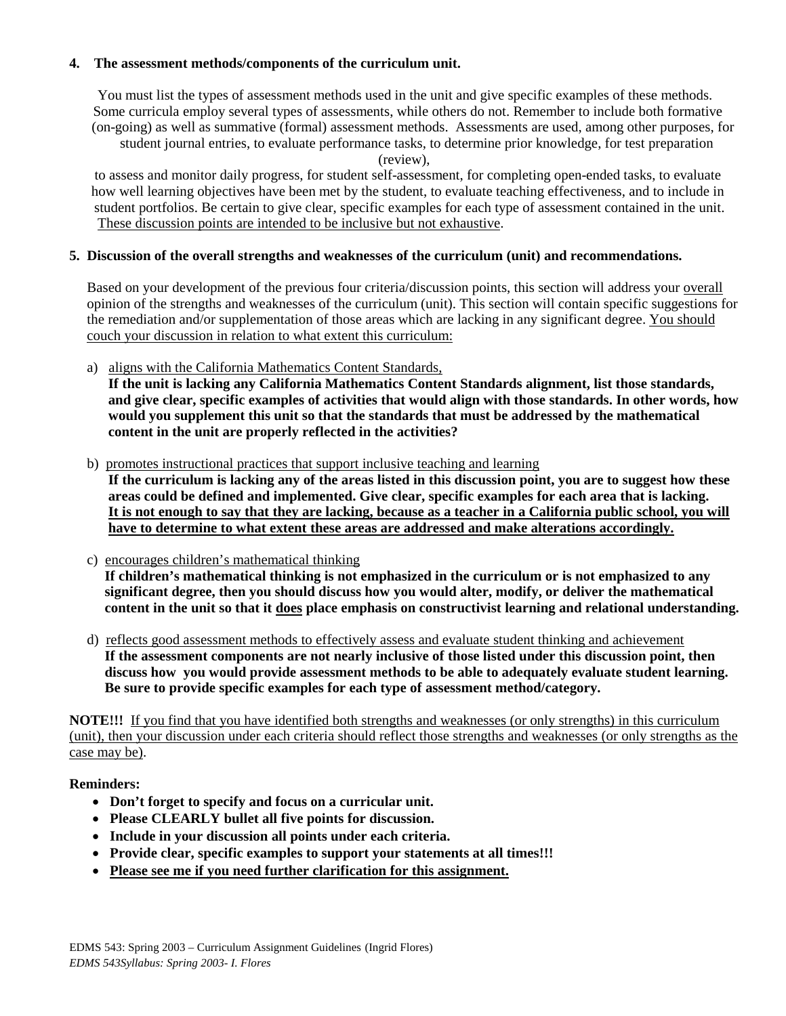# **4. The assessment methods/components of the curriculum unit.**

 You must list the types of assessment methods used in the unit and give specific examples of these methods. Some curricula employ several types of assessments, while others do not. Remember to include both formative (on-going) as well as summative (formal) assessment methods. Assessments are used, among other purposes, for student journal entries, to evaluate performance tasks, to determine prior knowledge, for test preparation

(review),

 to assess and monitor daily progress, for student self-assessment, for completing open-ended tasks, to evaluate how well learning objectives have been met by the student, to evaluate teaching effectiveness, and to include in student portfolios. Be certain to give clear, specific examples for each type of assessment contained in the unit. These discussion points are intended to be inclusive but not exhaustive.

# **5. Discussion of the overall strengths and weaknesses of the curriculum (unit) and recommendations.**

 Based on your development of the previous four criteria/discussion points, this section will address your overall opinion of the strengths and weaknesses of the curriculum (unit). This section will contain specific suggestions for the remediation and/or supplementation of those areas which are lacking in any significant degree. You should couch your discussion in relation to what extent this curriculum:

a) aligns with the California Mathematics Content Standards,

 **If the unit is lacking any California Mathematics Content Standards alignment, list those standards, and give clear, specific examples of activities that would align with those standards. In other words, how would you supplement this unit so that the standards that must be addressed by the mathematical content in the unit are properly reflected in the activities?**

- b) promotes instructional practices that support inclusive teaching and learning **If the curriculum is lacking any of the areas listed in this discussion point, you are to suggest how these areas could be defined and implemented. Give clear, specific examples for each area that is lacking. It is not enough to say that they are lacking, because as a teacher in a California public school, you will have to determine to what extent these areas are addressed and make alterations accordingly.**
- c) encourages children's mathematical thinking **If children's mathematical thinking is not emphasized in the curriculum or is not emphasized to any significant degree, then you should discuss how you would alter, modify, or deliver the mathematical content in the unit so that it does place emphasis on constructivist learning and relational understanding.**
- d) reflects good assessment methods to effectively assess and evaluate student thinking and achievement **If the assessment components are not nearly inclusive of those listed under this discussion point, then discuss how you would provide assessment methods to be able to adequately evaluate student learning. Be sure to provide specific examples for each type of assessment method/category.**

**NOTE!!!** If you find that you have identified both strengths and weaknesses (or only strengths) in this curriculum (unit), then your discussion under each criteria should reflect those strengths and weaknesses (or only strengths as the case may be).

# **Reminders:**

- **Don't forget to specify and focus on a curricular unit.**
- **Please CLEARLY bullet all five points for discussion.**
- **Include in your discussion all points under each criteria.**
- **Provide clear, specific examples to support your statements at all times!!!**
- **Please see me if you need further clarification for this assignment.**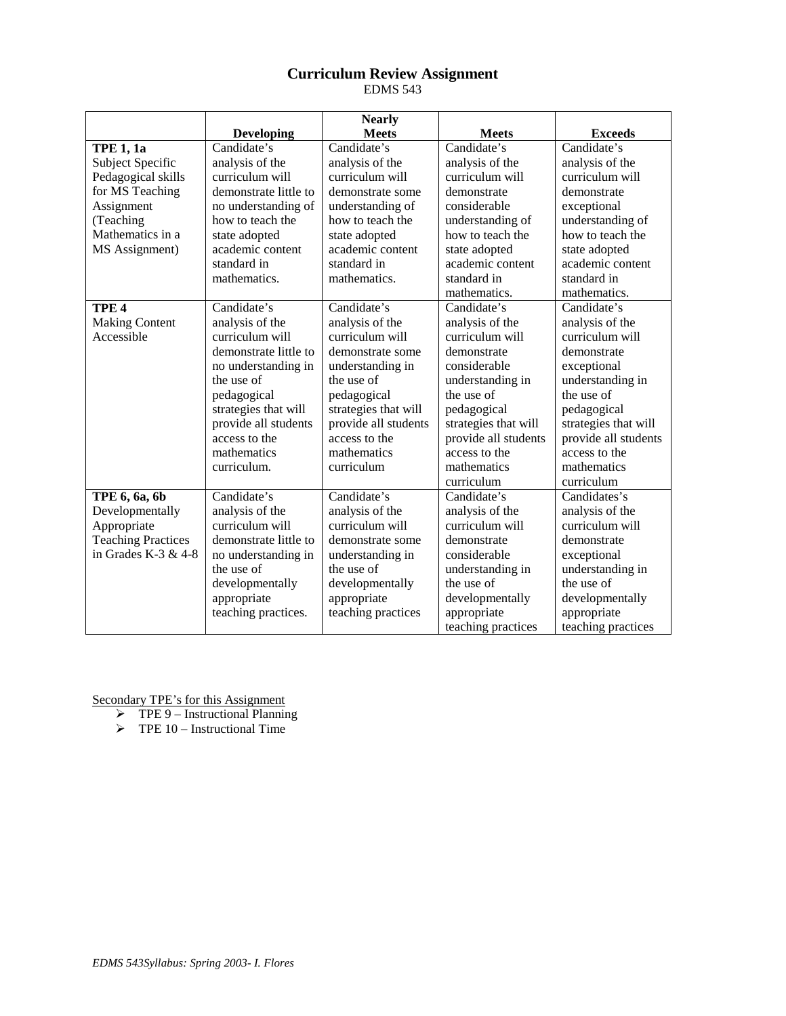# **Curriculum Review Assignment** EDMS 543

|                           |                       | <b>Nearly</b>        |                                              |                    |
|---------------------------|-----------------------|----------------------|----------------------------------------------|--------------------|
|                           | <b>Developing</b>     | <b>Meets</b>         | <b>Meets</b>                                 | <b>Exceeds</b>     |
| <b>TPE 1, 1a</b>          | Candidate's           | Candidate's          | Candidate's                                  | Candidate's        |
| Subject Specific          | analysis of the       | analysis of the      | analysis of the                              | analysis of the    |
| Pedagogical skills        | curriculum will       | curriculum will      | curriculum will                              | curriculum will    |
| for MS Teaching           | demonstrate little to | demonstrate some     | demonstrate                                  | demonstrate        |
| Assignment                | no understanding of   | understanding of     | considerable                                 | exceptional        |
| (Teaching                 | how to teach the      | how to teach the     | understanding of                             | understanding of   |
| Mathematics in a          | state adopted         | state adopted        | how to teach the                             | how to teach the   |
| MS Assignment)            | academic content      | academic content     | state adopted                                | state adopted      |
|                           | standard in           | standard in          | academic content                             | academic content   |
|                           | mathematics.          | mathematics.         | standard in                                  | standard in        |
|                           |                       |                      | mathematics.                                 | mathematics.       |
| TPE <sub>4</sub>          | Candidate's           | Candidate's          | Candidate's                                  | Candidate's        |
| <b>Making Content</b>     | analysis of the       | analysis of the      | analysis of the                              | analysis of the    |
| Accessible                | curriculum will       | curriculum will      | curriculum will                              | curriculum will    |
|                           | demonstrate little to | demonstrate some     | demonstrate                                  | demonstrate        |
|                           | no understanding in   | understanding in     | considerable                                 | exceptional        |
|                           | the use of            | the use of           | understanding in                             | understanding in   |
|                           | pedagogical           | pedagogical          | the use of                                   | the use of         |
|                           | strategies that will  | strategies that will | pedagogical<br>pedagogical                   |                    |
|                           | provide all students  | provide all students | strategies that will<br>strategies that will |                    |
|                           | access to the         | access to the        | provide all students<br>provide all students |                    |
|                           | mathematics           | mathematics          | access to the<br>access to the               |                    |
|                           | curriculum.           | curriculum           | mathematics                                  | mathematics        |
|                           |                       |                      | curriculum                                   | curriculum         |
| TPE 6, 6a, 6b             | Candidate's           | Candidate's          | Candidate's                                  | Candidates's       |
| Developmentally           | analysis of the       | analysis of the      | analysis of the<br>analysis of the           |                    |
| Appropriate               | curriculum will       | curriculum will      | curriculum will<br>curriculum will           |                    |
| <b>Teaching Practices</b> | demonstrate little to | demonstrate some     | demonstrate<br>demonstrate                   |                    |
| in Grades K-3 $& 4-8$     | no understanding in   | understanding in     | considerable<br>exceptional                  |                    |
|                           | the use of            | the use of           | understanding in                             | understanding in   |
|                           | developmentally       | developmentally      | the use of                                   | the use of         |
|                           | appropriate           | appropriate          | developmentally                              | developmentally    |
|                           | teaching practices.   | teaching practices   | appropriate                                  | appropriate        |
|                           |                       |                      | teaching practices                           | teaching practices |

Secondary TPE's for this Assignment

 $\triangleright$  TPE 9 – Instructional Planning

 $\triangleright$  TPE 10 – Instructional Time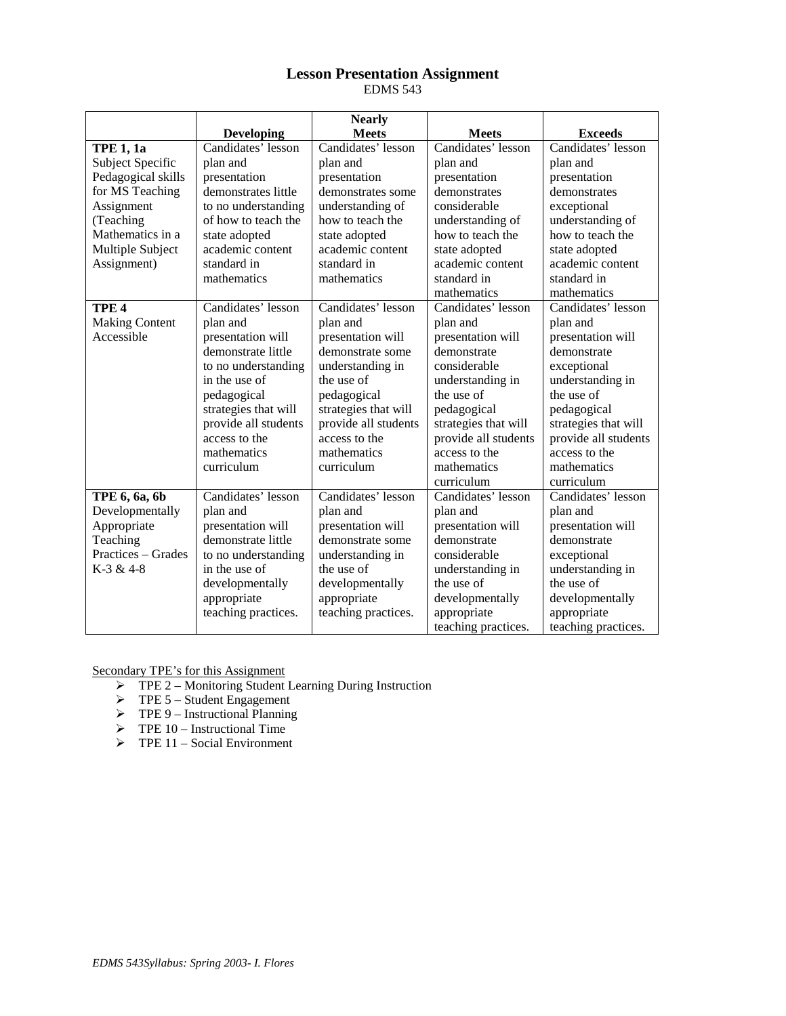# **Lesson Presentation Assignment** EDMS 543

|                       |                      | <b>Nearly</b>        |                             |                      |
|-----------------------|----------------------|----------------------|-----------------------------|----------------------|
|                       | <b>Developing</b>    | <b>Meets</b>         | <b>Meets</b>                | <b>Exceeds</b>       |
| <b>TPE 1, 1a</b>      | Candidates' lesson   | Candidates' lesson   | Candidates' lesson          | Candidates' lesson   |
| Subject Specific      | plan and             | plan and             | plan and                    | plan and             |
| Pedagogical skills    | presentation         | presentation         | presentation                | presentation         |
| for MS Teaching       | demonstrates little  | demonstrates some    | demonstrates                | demonstrates         |
| Assignment            | to no understanding  | understanding of     | considerable                | exceptional          |
| (Teaching             | of how to teach the  | how to teach the     | understanding of            | understanding of     |
| Mathematics in a      | state adopted        | state adopted        | how to teach the            | how to teach the     |
| Multiple Subject      | academic content     | academic content     | state adopted               | state adopted        |
| Assignment)           | standard in          | standard in          | academic content            | academic content     |
|                       | mathematics          | mathematics          | standard in                 | standard in          |
|                       |                      |                      | mathematics                 | mathematics          |
| TPE <sub>4</sub>      | Candidates' lesson   | Candidates' lesson   | Candidates' lesson          | Candidates' lesson   |
| <b>Making Content</b> | plan and             | plan and             | plan and                    | plan and             |
| Accessible            | presentation will    | presentation will    | presentation will           | presentation will    |
|                       | demonstrate little   | demonstrate some     | demonstrate                 | demonstrate          |
|                       | to no understanding  | understanding in     | considerable                | exceptional          |
|                       | in the use of        | the use of           | understanding in            | understanding in     |
|                       | pedagogical          | pedagogical          | the use of                  | the use of           |
|                       | strategies that will | strategies that will | pedagogical                 | pedagogical          |
|                       | provide all students | provide all students | strategies that will        | strategies that will |
|                       | access to the        | access to the        | provide all students        | provide all students |
|                       | mathematics          | mathematics          | access to the               | access to the        |
|                       | curriculum           | curriculum           | mathematics                 | mathematics          |
|                       |                      |                      | curriculum                  | curriculum           |
| TPE 6, 6a, 6b         | Candidates' lesson   | Candidates' lesson   | Candidates' lesson          | Candidates' lesson   |
| Developmentally       | plan and             | plan and             | plan and                    | plan and             |
| Appropriate           | presentation will    | presentation will    | presentation will           | presentation will    |
| Teaching              | demonstrate little   | demonstrate some     | demonstrate<br>demonstrate  |                      |
| Practices - Grades    | to no understanding  | understanding in     | considerable<br>exceptional |                      |
| K-3 & 4-8             | in the use of        | the use of           | understanding in            | understanding in     |
|                       | developmentally      | developmentally      | the use of                  | the use of           |
|                       | appropriate          | appropriate          | developmentally             | developmentally      |
|                       | teaching practices.  | teaching practices.  | appropriate                 | appropriate          |
|                       |                      |                      | teaching practices.         | teaching practices.  |

Secondary TPE's for this Assignment

- TPE 2 Monitoring Student Learning During Instruction
- $\triangleright$  TPE 5 Student Engagement
- $\triangleright$  TPE 9 Instructional Planning
- $\triangleright$  TPE 10 Instructional Time
- $\triangleright$  TPE 11 Social Environment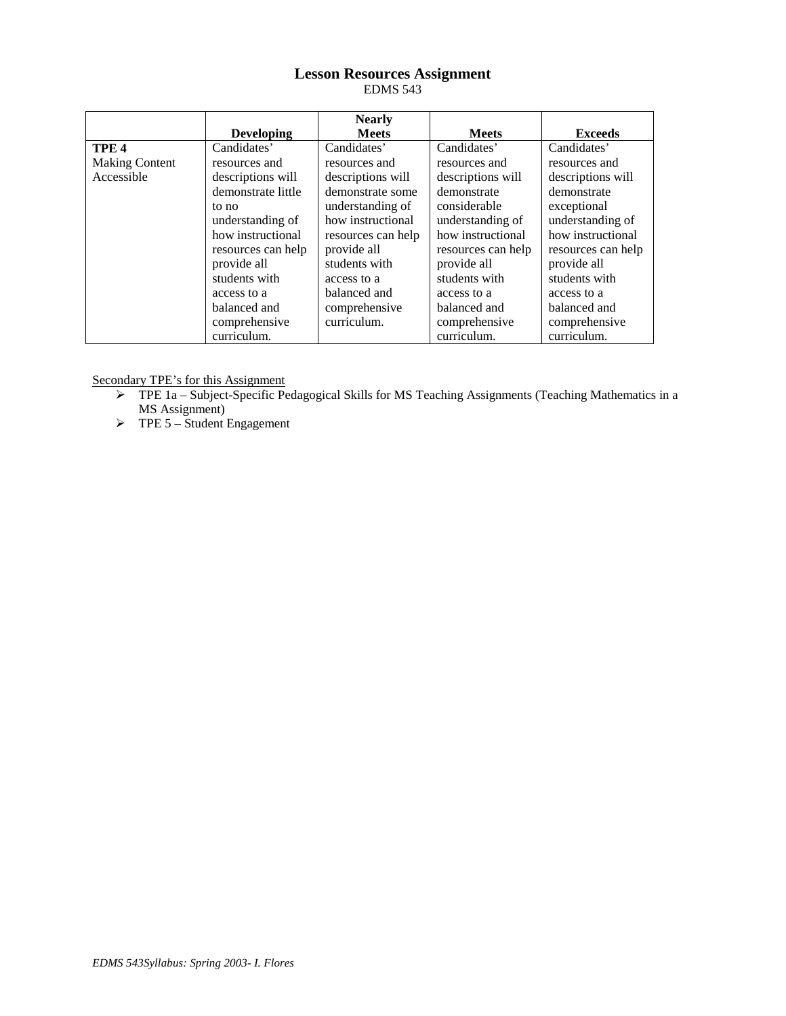# **Lesson Resources Assignment** EDMS 543

|                       |                    | <b>Nearly</b>      |                                        |                    |
|-----------------------|--------------------|--------------------|----------------------------------------|--------------------|
|                       | <b>Developing</b>  | <b>Meets</b>       | <b>Meets</b>                           | <b>Exceeds</b>     |
| TPE <sub>4</sub>      | Candidates'        | Candidates'        | Candidates'                            | Candidates'        |
| <b>Making Content</b> | resources and      | resources and      | resources and<br>resources and         |                    |
| Accessible            | descriptions will  | descriptions will  | descriptions will<br>descriptions will |                    |
|                       | demonstrate little | demonstrate some   | demonstrate                            | demonstrate        |
|                       | to no              | understanding of   | considerable                           | exceptional        |
|                       | understanding of   | how instructional  | understanding of                       | understanding of   |
|                       | how instructional  | resources can help | how instructional                      | how instructional  |
|                       | resources can help | provide all        | resources can help                     | resources can help |
|                       | provide all        | students with      | provide all                            | provide all        |
|                       | students with      | access to a        | students with                          | students with      |
|                       | access to a        | balanced and       | access to a                            | access to a        |
|                       | balanced and       | comprehensive      | balanced and                           | balanced and       |
|                       | comprehensive      | curriculum.        | comprehensive                          | comprehensive      |
|                       | curriculum.        |                    | curriculum.                            | curriculum.        |

Secondary TPE's for this Assignment

- $\triangleright$  TPE 1a Subject-Specific Pedagogical Skills for MS Teaching Assignments (Teaching Mathematics in a MS Assignment)
- $\triangleright$  TPE 5 Student Engagement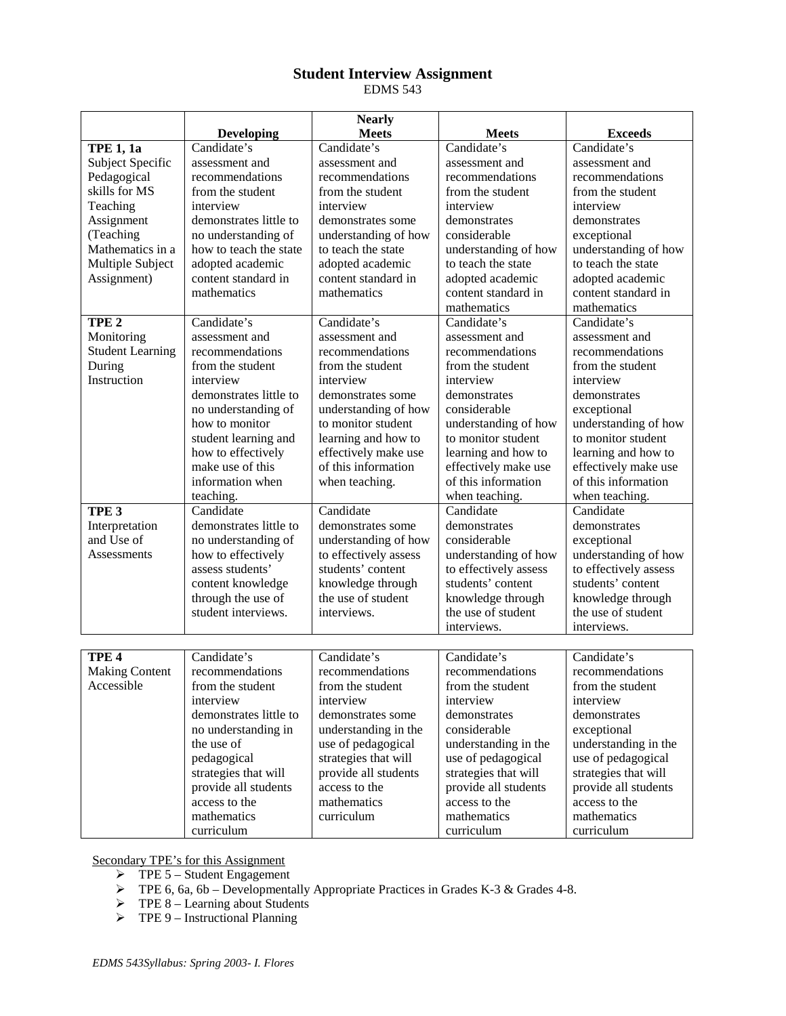# **Student Interview Assignment** EDMS 543

|                         |                        | <b>Nearly</b>         |                                            |                       |
|-------------------------|------------------------|-----------------------|--------------------------------------------|-----------------------|
|                         | <b>Developing</b>      | <b>Meets</b>          | <b>Meets</b>                               | <b>Exceeds</b>        |
| <b>TPE 1, 1a</b>        | Candidate's            | Candidate's           | Candidate's                                | Candidate's           |
| Subject Specific        | assessment and         | assessment and        | assessment and                             | assessment and        |
| Pedagogical             | recommendations        | recommendations       | recommendations                            | recommendations       |
| skills for MS           | from the student       | from the student      | from the student                           | from the student      |
| Teaching                | interview              | interview             | interview                                  | interview             |
| Assignment              | demonstrates little to | demonstrates some     | demonstrates                               | demonstrates          |
| (Teaching               | no understanding of    | understanding of how  | considerable                               | exceptional           |
| Mathematics in a        | how to teach the state | to teach the state    | understanding of how                       | understanding of how  |
| Multiple Subject        | adopted academic       | adopted academic      | to teach the state                         | to teach the state    |
| Assignment)             | content standard in    | content standard in   | adopted academic                           | adopted academic      |
|                         | mathematics            | mathematics           | content standard in                        | content standard in   |
|                         |                        |                       | mathematics                                | mathematics           |
| TPE <sub>2</sub>        | Candidate's            | Candidate's           | Candidate's                                | Candidate's           |
| Monitoring              | assessment and         | assessment and        | assessment and                             | assessment and        |
| <b>Student Learning</b> | recommendations        | recommendations       | recommendations                            | recommendations       |
| During                  | from the student       | from the student      | from the student                           | from the student      |
| Instruction             | interview              | interview             | interview                                  | interview             |
|                         | demonstrates little to | demonstrates some     | demonstrates                               | demonstrates          |
|                         | no understanding of    | understanding of how  | considerable                               | exceptional           |
|                         | how to monitor         | to monitor student    | understanding of how                       | understanding of how  |
|                         | student learning and   | learning and how to   | to monitor student                         | to monitor student    |
|                         | how to effectively     | effectively make use  | learning and how to                        | learning and how to   |
|                         | make use of this       | of this information   | effectively make use                       | effectively make use  |
|                         | information when       | when teaching.        | of this information<br>of this information |                       |
|                         | teaching.              |                       | when teaching.                             | when teaching.        |
| TPE <sub>3</sub>        | Candidate              | Candidate             | Candidate                                  | Candidate             |
| Interpretation          | demonstrates little to | demonstrates some     | demonstrates                               | demonstrates          |
| and Use of              | no understanding of    | understanding of how  | considerable                               | exceptional           |
| Assessments             | how to effectively     | to effectively assess | understanding of how                       | understanding of how  |
|                         | assess students'       | students' content     | to effectively assess                      | to effectively assess |
|                         | content knowledge      | knowledge through     | students' content                          | students' content     |
|                         | through the use of     | the use of student    | knowledge through                          | knowledge through     |
|                         | student interviews.    | interviews.           | the use of student                         | the use of student    |
|                         |                        |                       | interviews.                                | interviews.           |
|                         |                        |                       |                                            |                       |
| TPE <sub>4</sub>        | Candidate's            | Candidate's           | Candidate's                                | Candidate's           |
| <b>Making Content</b>   | recommendations        | recommendations       | recommendations                            | recommendations       |
| Accessible              | from the student       | from the student      | from the student                           | from the student      |
|                         | interview              | interview             | interview                                  | interview             |
|                         | demonstrates little to | demonstrates some     | demonstrates                               | demonstrates          |
|                         | no understanding in    | understanding in the  | considerable                               | exceptional           |
|                         | the use of             | use of pedagogical    | understanding in the                       | understanding in the  |
|                         | pedagogical            | strategies that will  | use of pedagogical                         | use of pedagogical    |
|                         | strategies that will   | provide all students  | strategies that will                       | strategies that will  |
|                         | provide all students   | access to the         | provide all students                       | provide all students  |
|                         | access to the          | mathematics           | access to the                              | access to the         |
|                         | mathematics            | curriculum            | mathematics                                | mathematics           |
|                         | curriculum             |                       | curriculum                                 | curriculum            |

Secondary TPE's for this Assignment

- $\triangleright$  TPE 5 Student Engagement
- $\triangleright$  TPE 6, 6a, 6b Developmentally Appropriate Practices in Grades K-3 & Grades 4-8.
- $\triangleright$  TPE 8 Learning about Students
- $\triangleright$  TPE 9 Instructional Planning